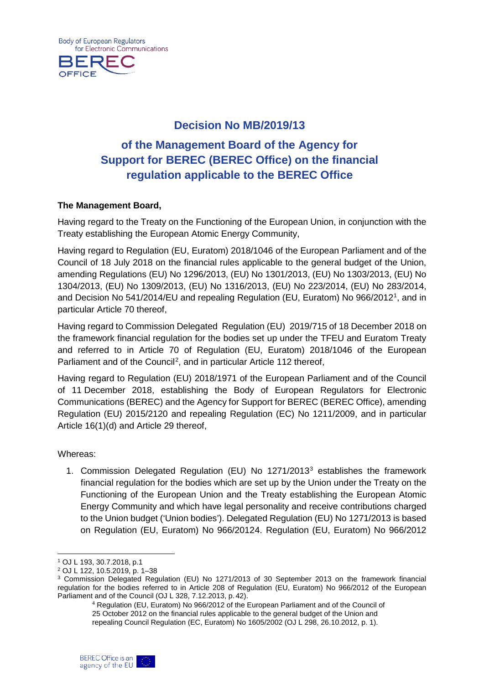**Body of European Regulators** for Electronic Communications



# **Decision No MB/2019/13**

# **of the Management Board of the Agency for Support for BEREC (BEREC Office) on the financial regulation applicable to the BEREC Office**

#### **The Management Board,**

Having regard to the Treaty on the Functioning of the European Union, in conjunction with the Treaty establishing the European Atomic Energy Community,

Having regard to Regulation (EU, Euratom) 2018/1046 of the European Parliament and of the Council of 18 July 2018 on the financial rules applicable to the general budget of the Union, amending Regulations (EU) No 1296/2013, (EU) No 1301/2013, (EU) No 1303/2013, (EU) No 1304/2013, (EU) No 1309/2013, (EU) No 1316/2013, (EU) No 223/2014, (EU) No 283/2014, and Decision No 541/2014/EU and repealing Regulation (EU, Euratom) No 966/2012[1](#page-0-0) , and in particular Article 70 thereof,

Having regard to Commission Delegated Regulation (EU) 2019/715 of 18 December 2018 on the framework financial regulation for the bodies set up under the TFEU and Euratom Treaty and referred to in Article 70 of Regulation (EU, Euratom) 2018/1046 of the European Parliament and of the Council<sup>[2](#page-0-1)</sup>, and in particular Article 112 thereof,

Having regard to [Regulation \(EU\) 2018/1971 of the European Parliament and of the Council](https://eur-lex.europa.eu/legal-content/EN/TXT/PDF/?uri=CELEX:32018R1971&from=EN)  of 11 [December 2018,](https://eur-lex.europa.eu/legal-content/EN/TXT/PDF/?uri=CELEX:32018R1971&from=EN) establishing the Body of European Regulators for Electronic Communications (BEREC) and the Agency for Support for BEREC (BEREC Office), amending Regulation (EU) 2015/2120 and repealing Regulation (EC) No 1211/2009, and in particular Article 16(1)(d) and Article 29 thereof,

Whereas:

 $\overline{a}$ 

1. Commission Delegated Regulation (EU) No 1271/2013[3](#page-0-2) establishes the framework financial regulation for the bodies which are set up by the Union under the Treaty on the Functioning of the European Union and the Treaty establishing the European Atomic Energy Community and which have legal personality and receive contributions charged to the Union budget ('Union bodies'). Delegated Regulation (EU) No 1271/2013 is based on Regulation (EU, Euratom) No 966/2012[4.](#page-0-3) Regulation (EU, Euratom) No 966/2012

<sup>4</sup> Regulation (EU, Euratom) No 966/2012 of the European Parliament and of the Council of 25 October 2012 on the financial rules applicable to the general budget of the Union and repealing Council Regulation (EC, Euratom) No 1605/2002 (OJ L 298, 26.10.2012, p. 1).



<span id="page-0-0"></span><sup>1</sup> OJ L 193, 30.7.2018, p.1

<span id="page-0-1"></span><sup>2</sup> OJ L 122, 10.5.2019, p. 1–38

<span id="page-0-3"></span><span id="page-0-2"></span><sup>&</sup>lt;sup>3</sup> Commission Delegated Regulation (EU) No 1271/2013 of 30 September 2013 on the framework financial regulation for the bodies referred to in Article 208 of Regulation (EU, Euratom) No 966/2012 of the European Parliament and of the Council (OJ L 328, 7.12.2013, p. 42).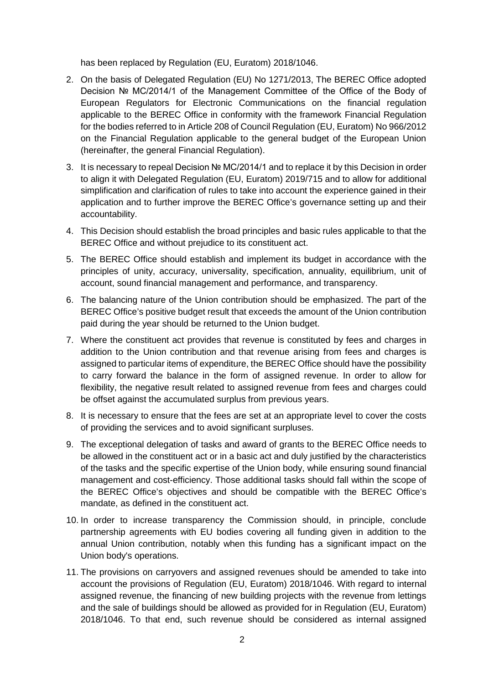has been replaced by Regulation (EU, Euratom) 2018/1046.

- 2. On the basis of Delegated Regulation (EU) No 1271/2013, The BEREC Office adopted Decision № MC/2014/1 of the Management Committee of the Office of the Body of European Regulators for Electronic Communications on the financial regulation applicable to the BEREC Office in conformity with the framework Financial Regulation for the bodies referred to in Article 208 of Council Regulation (EU, Euratom) No 966/2012 on the Financial Regulation applicable to the general budget of the European Union (hereinafter, the general Financial Regulation).
- 3. It is necessary to repeal Decision № MC/2014/1 and to replace it by this Decision in order to align it with Delegated Regulation (EU, Euratom) 2019/715 and to allow for additional simplification and clarification of rules to take into account the experience gained in their application and to further improve the BEREC Office's governance setting up and their accountability.
- 4. This Decision should establish the broad principles and basic rules applicable to that the BEREC Office and without prejudice to its constituent act.
- 5. The BEREC Office should establish and implement its budget in accordance with the principles of unity, accuracy, universality, specification, annuality, equilibrium, unit of account, sound financial management and performance, and transparency.
- 6. The balancing nature of the Union contribution should be emphasized. The part of the BEREC Office's positive budget result that exceeds the amount of the Union contribution paid during the year should be returned to the Union budget.
- 7. Where the constituent act provides that revenue is constituted by fees and charges in addition to the Union contribution and that revenue arising from fees and charges is assigned to particular items of expenditure, the BEREC Office should have the possibility to carry forward the balance in the form of assigned revenue. In order to allow for flexibility, the negative result related to assigned revenue from fees and charges could be offset against the accumulated surplus from previous years.
- 8. It is necessary to ensure that the fees are set at an appropriate level to cover the costs of providing the services and to avoid significant surpluses.
- 9. The exceptional delegation of tasks and award of grants to the BEREC Office needs to be allowed in the constituent act or in a basic act and duly justified by the characteristics of the tasks and the specific expertise of the Union body, while ensuring sound financial management and cost-efficiency. Those additional tasks should fall within the scope of the BEREC Office's objectives and should be compatible with the BEREC Office's mandate, as defined in the constituent act.
- 10. In order to increase transparency the Commission should, in principle, conclude partnership agreements with EU bodies covering all funding given in addition to the annual Union contribution, notably when this funding has a significant impact on the Union body's operations.
- 11. The provisions on carryovers and assigned revenues should be amended to take into account the provisions of Regulation (EU, Euratom) 2018/1046. With regard to internal assigned revenue, the financing of new building projects with the revenue from lettings and the sale of buildings should be allowed as provided for in Regulation (EU, Euratom) 2018/1046. To that end, such revenue should be considered as internal assigned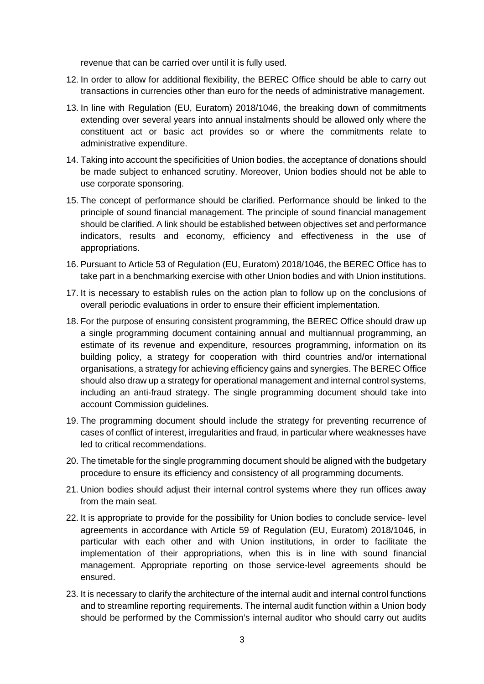revenue that can be carried over until it is fully used.

- 12. In order to allow for additional flexibility, the BEREC Office should be able to carry out transactions in currencies other than euro for the needs of administrative management.
- 13. In line with Regulation (EU, Euratom) 2018/1046, the breaking down of commitments extending over several years into annual instalments should be allowed only where the constituent act or basic act provides so or where the commitments relate to administrative expenditure.
- 14. Taking into account the specificities of Union bodies, the acceptance of donations should be made subject to enhanced scrutiny. Moreover, Union bodies should not be able to use corporate sponsoring.
- 15. The concept of performance should be clarified. Performance should be linked to the principle of sound financial management. The principle of sound financial management should be clarified. A link should be established between objectives set and performance indicators, results and economy, efficiency and effectiveness in the use of appropriations.
- 16. Pursuant to Article 53 of Regulation (EU, Euratom) 2018/1046, the BEREC Office has to take part in a benchmarking exercise with other Union bodies and with Union institutions.
- 17. It is necessary to establish rules on the action plan to follow up on the conclusions of overall periodic evaluations in order to ensure their efficient implementation.
- 18. For the purpose of ensuring consistent programming, the BEREC Office should draw up a single programming document containing annual and multiannual programming, an estimate of its revenue and expenditure, resources programming, information on its building policy, a strategy for cooperation with third countries and/or international organisations, a strategy for achieving efficiency gains and synergies. The BEREC Office should also draw up a strategy for operational management and internal control systems, including an anti-fraud strategy. The single programming document should take into account Commission guidelines.
- 19. The programming document should include the strategy for preventing recurrence of cases of conflict of interest, irregularities and fraud, in particular where weaknesses have led to critical recommendations.
- 20. The timetable for the single programming document should be aligned with the budgetary procedure to ensure its efficiency and consistency of all programming documents.
- 21. Union bodies should adjust their internal control systems where they run offices away from the main seat.
- 22. It is appropriate to provide for the possibility for Union bodies to conclude service- level agreements in accordance with Article 59 of Regulation (EU, Euratom) 2018/1046, in particular with each other and with Union institutions, in order to facilitate the implementation of their appropriations, when this is in line with sound financial management. Appropriate reporting on those service-level agreements should be ensured.
- 23. It is necessary to clarify the architecture of the internal audit and internal control functions and to streamline reporting requirements. The internal audit function within a Union body should be performed by the Commission's internal auditor who should carry out audits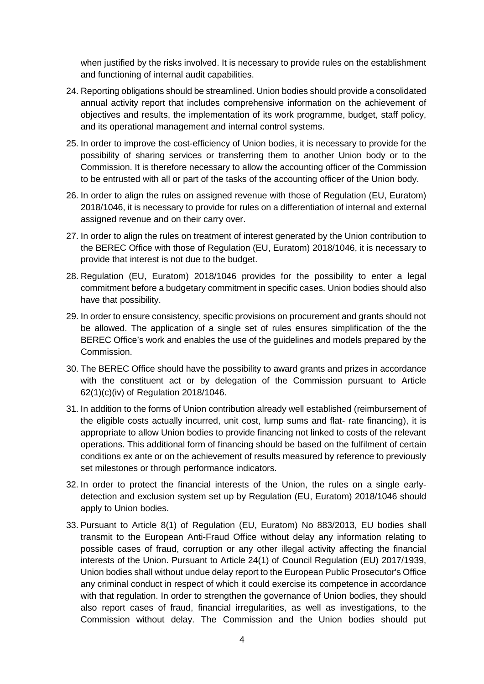when justified by the risks involved. It is necessary to provide rules on the establishment and functioning of internal audit capabilities.

- 24. Reporting obligations should be streamlined. Union bodies should provide a consolidated annual activity report that includes comprehensive information on the achievement of objectives and results, the implementation of its work programme, budget, staff policy, and its operational management and internal control systems.
- 25. In order to improve the cost-efficiency of Union bodies, it is necessary to provide for the possibility of sharing services or transferring them to another Union body or to the Commission. It is therefore necessary to allow the accounting officer of the Commission to be entrusted with all or part of the tasks of the accounting officer of the Union body.
- 26. In order to align the rules on assigned revenue with those of Regulation (EU, Euratom) 2018/1046, it is necessary to provide for rules on a differentiation of internal and external assigned revenue and on their carry over.
- 27. In order to align the rules on treatment of interest generated by the Union contribution to the BEREC Office with those of Regulation (EU, Euratom) 2018/1046, it is necessary to provide that interest is not due to the budget.
- 28. Regulation (EU, Euratom) 2018/1046 provides for the possibility to enter a legal commitment before a budgetary commitment in specific cases. Union bodies should also have that possibility.
- 29. In order to ensure consistency, specific provisions on procurement and grants should not be allowed. The application of a single set of rules ensures simplification of the the BEREC Office's work and enables the use of the guidelines and models prepared by the Commission.
- 30. The BEREC Office should have the possibility to award grants and prizes in accordance with the constituent act or by delegation of the Commission pursuant to Article 62(1)(c)(iv) of Regulation 2018/1046.
- 31. In addition to the forms of Union contribution already well established (reimbursement of the eligible costs actually incurred, unit cost, lump sums and flat- rate financing), it is appropriate to allow Union bodies to provide financing not linked to costs of the relevant operations. This additional form of financing should be based on the fulfilment of certain conditions ex ante or on the achievement of results measured by reference to previously set milestones or through performance indicators.
- 32. In order to protect the financial interests of the Union, the rules on a single earlydetection and exclusion system set up by Regulation (EU, Euratom) 2018/1046 should apply to Union bodies.
- 33. Pursuant to Article 8(1) of Regulation (EU, Euratom) No 883/2013, EU bodies shall transmit to the European Anti-Fraud Office without delay any information relating to possible cases of fraud, corruption or any other illegal activity affecting the financial interests of the Union. Pursuant to Article 24(1) of Council Regulation (EU) 2017/1939, Union bodies shall without undue delay report to the European Public Prosecutor's Office any criminal conduct in respect of which it could exercise its competence in accordance with that regulation. In order to strengthen the governance of Union bodies, they should also report cases of fraud, financial irregularities, as well as investigations, to the Commission without delay. The Commission and the Union bodies should put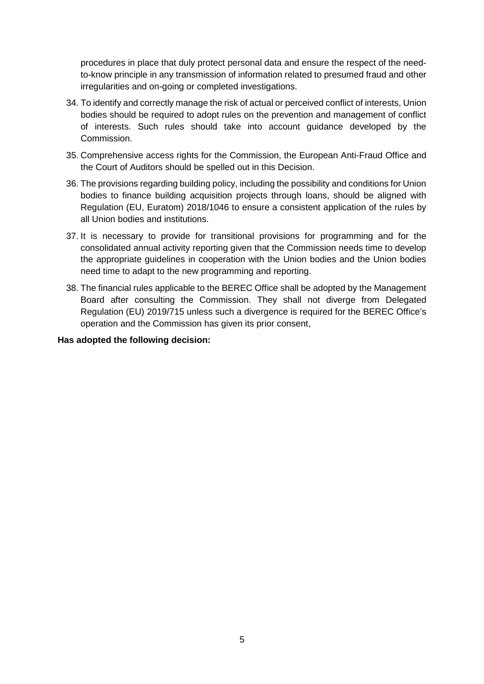procedures in place that duly protect personal data and ensure the respect of the needto-know principle in any transmission of information related to presumed fraud and other irregularities and on-going or completed investigations.

- 34. To identify and correctly manage the risk of actual or perceived conflict of interests, Union bodies should be required to adopt rules on the prevention and management of conflict of interests. Such rules should take into account guidance developed by the Commission.
- 35. Comprehensive access rights for the Commission, the European Anti-Fraud Office and the Court of Auditors should be spelled out in this Decision.
- 36. The provisions regarding building policy, including the possibility and conditions for Union bodies to finance building acquisition projects through loans, should be aligned with Regulation (EU, Euratom) 2018/1046 to ensure a consistent application of the rules by all Union bodies and institutions.
- 37. It is necessary to provide for transitional provisions for programming and for the consolidated annual activity reporting given that the Commission needs time to develop the appropriate guidelines in cooperation with the Union bodies and the Union bodies need time to adapt to the new programming and reporting.
- 38. The financial rules applicable to the BEREC Office shall be adopted by the Management Board after consulting the Commission. They shall not diverge from Delegated Regulation (EU) 2019/715 unless such a divergence is required for the BEREC Office's operation and the Commission has given its prior consent,

#### **Has adopted the following decision:**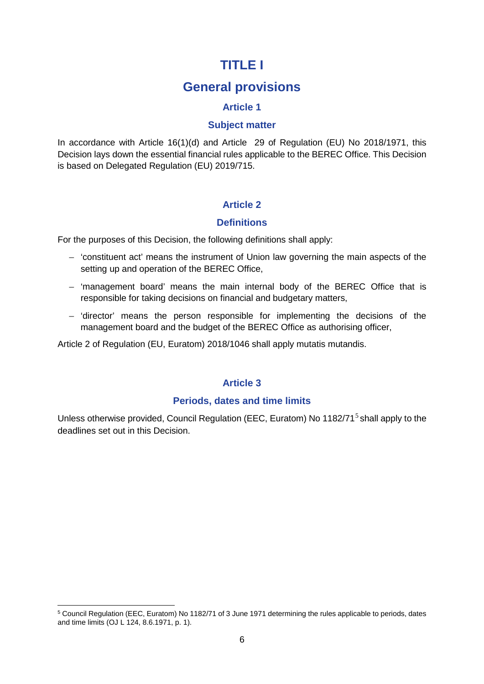# **TITLE I**

# **General provisions**

### **Article 1**

#### **Subject matter**

In accordance with Article 16(1)(d) and Article 29 of Regulation (EU) No 2018/1971, this Decision lays down the essential financial rules applicable to the BEREC Office. This Decision is based on Delegated Regulation (EU) 2019/715.

## **Article 2**

#### **Definitions**

For the purposes of this Decision, the following definitions shall apply:

- 'constituent act' means the instrument of Union law governing the main aspects of the setting up and operation of the BEREC Office,
- 'management board' means the main internal body of the BEREC Office that is responsible for taking decisions on financial and budgetary matters,
- 'director' means the person responsible for implementing the decisions of the management board and the budget of the BEREC Office as authorising officer,

Article 2 of Regulation (EU, Euratom) 2018/1046 shall apply mutatis mutandis.

#### **Article 3**

#### **Periods, dates and time limits**

Unless otherwise provided, Council Regulation (EEC, Euratom) No 1182/71<sup>[5](#page-5-0)</sup> shall apply to the deadlines set out in this Decision.

 $\overline{a}$ 

<span id="page-5-0"></span><sup>5</sup> Council Regulation (EEC, Euratom) No 1182/71 of 3 June 1971 determining the rules applicable to periods, dates and time limits (OJ L 124, 8.6.1971, p. 1).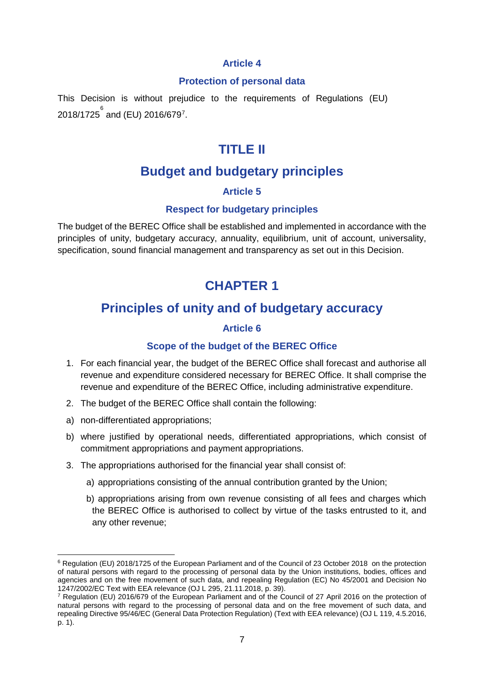#### **Protection of personal data**

This Decision is without prejudice to the requirements of Regulations (EU) 2018/1725 ៓and (EU) 201[6](#page-6-0)/6[7](#page-6-1)9<sup>7</sup>.

# **TITLE II**

# **Budget and budgetary principles**

# **Article 5**

### **Respect for budgetary principles**

The budget of the BEREC Office shall be established and implemented in accordance with the principles of unity, budgetary accuracy, annuality, equilibrium, unit of account, universality, specification, sound financial management and transparency as set out in this Decision.

# **CHAPTER 1**

# **Principles of unity and of budgetary accuracy**

### **Article 6**

## **Scope of the budget of the BEREC Office**

- 1. For each financial year, the budget of the BEREC Office shall forecast and authorise all revenue and expenditure considered necessary for BEREC Office. It shall comprise the revenue and expenditure of the BEREC Office, including administrative expenditure.
- 2. The budget of the BEREC Office shall contain the following:
- a) non-differentiated appropriations;
- b) where justified by operational needs, differentiated appropriations, which consist of commitment appropriations and payment appropriations.
- 3. The appropriations authorised for the financial year shall consist of:
	- a) appropriations consisting of the annual contribution granted by the Union;
	- b) appropriations arising from own revenue consisting of all fees and charges which the BEREC Office is authorised to collect by virtue of the tasks entrusted to it, and any other revenue;

<span id="page-6-0"></span> $\overline{a}$ <sup>6</sup> Regulation (EU) 2018/1725 of the European Parliament and of the Council of 23 October 2018 on the protection of natural persons with regard to the processing of personal data by the Union institutions, bodies, offices and agencies and on the free movement of such data, and repealing Regulation (EC) No 45/2001 and Decision No 1247/2002/EC Text with EEA relevance (OJ L 295, 21.11.2018, p. 39).

<span id="page-6-1"></span><sup>&</sup>lt;sup>7</sup> Regulation (EU) 2016/679 of the European Parliament and of the Council of 27 April 2016 on the protection of natural persons with regard to the processing of personal data and on the free movement of such data, and repealing Directive 95/46/EC (General Data Protection Regulation) (Text with EEA relevance) (OJ L 119, 4.5.2016, p. 1).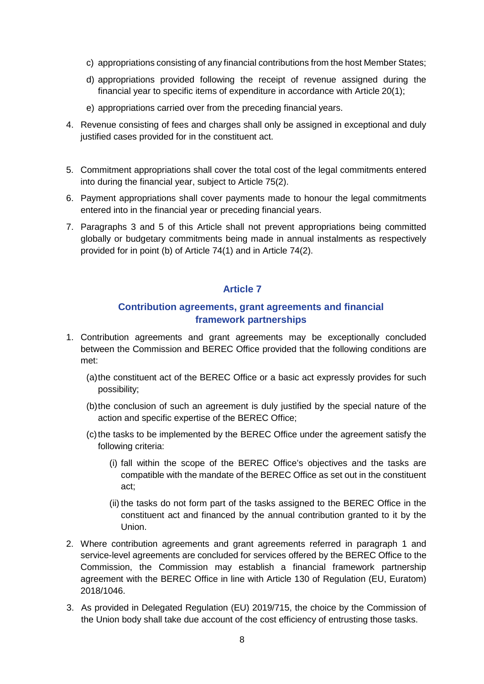- c) appropriations consisting of any financial contributions from the host Member States;
- d) appropriations provided following the receipt of revenue assigned during the financial year to specific items of expenditure in accordance with Article 20(1);
- e) appropriations carried over from the preceding financial years.
- 4. Revenue consisting of fees and charges shall only be assigned in exceptional and duly justified cases provided for in the constituent act.
- 5. Commitment appropriations shall cover the total cost of the legal commitments entered into during the financial year, subject to Article 75(2).
- 6. Payment appropriations shall cover payments made to honour the legal commitments entered into in the financial year or preceding financial years.
- 7. Paragraphs 3 and 5 of this Article shall not prevent appropriations being committed globally or budgetary commitments being made in annual instalments as respectively provided for in point (b) of Article 74(1) and in Article 74(2).

### **Contribution agreements, grant agreements and financial framework partnerships**

- 1. Contribution agreements and grant agreements may be exceptionally concluded between the Commission and BEREC Office provided that the following conditions are met:
	- (a)the constituent act of the BEREC Office or a basic act expressly provides for such possibility;
	- (b)the conclusion of such an agreement is duly justified by the special nature of the action and specific expertise of the BEREC Office;
	- (c)the tasks to be implemented by the BEREC Office under the agreement satisfy the following criteria:
		- (i) fall within the scope of the BEREC Office's objectives and the tasks are compatible with the mandate of the BEREC Office as set out in the constituent act;
		- (ii) the tasks do not form part of the tasks assigned to the BEREC Office in the constituent act and financed by the annual contribution granted to it by the Union.
- 2. Where contribution agreements and grant agreements referred in paragraph 1 and service-level agreements are concluded for services offered by the BEREC Office to the Commission, the Commission may establish a financial framework partnership agreement with the BEREC Office in line with Article 130 of Regulation (EU, Euratom) 2018/1046.
- 3. As provided in Delegated Regulation (EU) 2019/715, the choice by the Commission of the Union body shall take due account of the cost efficiency of entrusting those tasks.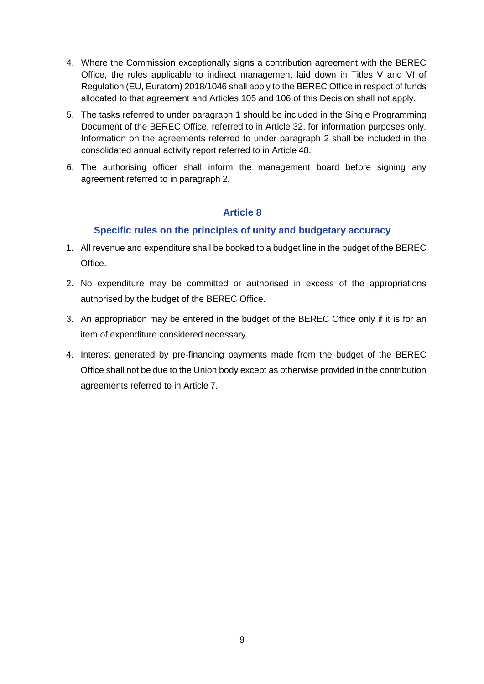- 4. Where the Commission exceptionally signs a contribution agreement with the BEREC Office, the rules applicable to indirect management laid down in Titles V and VI of Regulation (EU, Euratom) 2018/1046 shall apply to the BEREC Office in respect of funds allocated to that agreement and Articles 105 and 106 of this Decision shall not apply.
- 5. The tasks referred to under paragraph 1 should be included in the Single Programming Document of the BEREC Office, referred to in Article 32, for information purposes only. Information on the agreements referred to under paragraph 2 shall be included in the consolidated annual activity report referred to in Article 48.
- 6. The authorising officer shall inform the management board before signing any agreement referred to in paragraph 2.

### **Specific rules on the principles of unity and budgetary accuracy**

- 1. All revenue and expenditure shall be booked to a budget line in the budget of the BEREC Office.
- 2. No expenditure may be committed or authorised in excess of the appropriations authorised by the budget of the BEREC Office.
- 3. An appropriation may be entered in the budget of the BEREC Office only if it is for an item of expenditure considered necessary.
- 4. Interest generated by pre-financing payments made from the budget of the BEREC Office shall not be due to the Union body except as otherwise provided in the contribution agreements referred to in Article 7.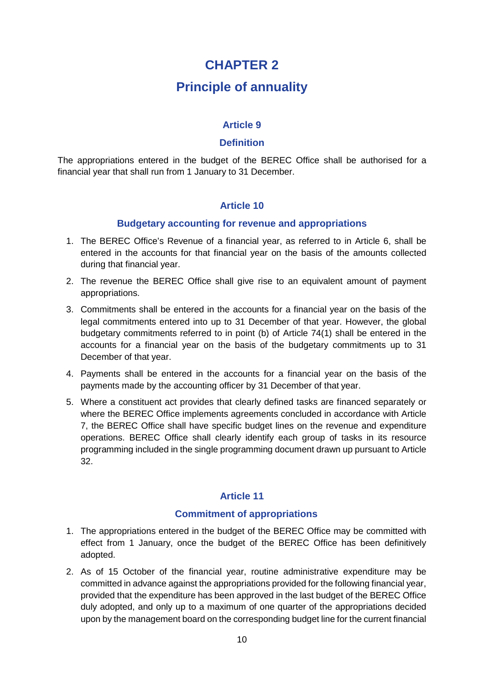# **CHAPTER 2**

# **Principle of annuality**

### **Article 9**

#### **Definition**

The appropriations entered in the budget of the BEREC Office shall be authorised for a financial year that shall run from 1 January to 31 December.

### **Article 10**

#### **Budgetary accounting for revenue and appropriations**

- 1. The BEREC Office's Revenue of a financial year, as referred to in Article 6, shall be entered in the accounts for that financial year on the basis of the amounts collected during that financial year.
- 2. The revenue the BEREC Office shall give rise to an equivalent amount of payment appropriations.
- 3. Commitments shall be entered in the accounts for a financial year on the basis of the legal commitments entered into up to 31 December of that year. However, the global budgetary commitments referred to in point (b) of Article 74(1) shall be entered in the accounts for a financial year on the basis of the budgetary commitments up to 31 December of that year.
- 4. Payments shall be entered in the accounts for a financial year on the basis of the payments made by the accounting officer by 31 December of that year.
- 5. Where a constituent act provides that clearly defined tasks are financed separately or where the BEREC Office implements agreements concluded in accordance with Article 7, the BEREC Office shall have specific budget lines on the revenue and expenditure operations. BEREC Office shall clearly identify each group of tasks in its resource programming included in the single programming document drawn up pursuant to Article 32.

#### **Article 11**

#### **Commitment of appropriations**

- 1. The appropriations entered in the budget of the BEREC Office may be committed with effect from 1 January, once the budget of the BEREC Office has been definitively adopted.
- 2. As of 15 October of the financial year, routine administrative expenditure may be committed in advance against the appropriations provided for the following financial year, provided that the expenditure has been approved in the last budget of the BEREC Office duly adopted, and only up to a maximum of one quarter of the appropriations decided upon by the management board on the corresponding budget line for the current financial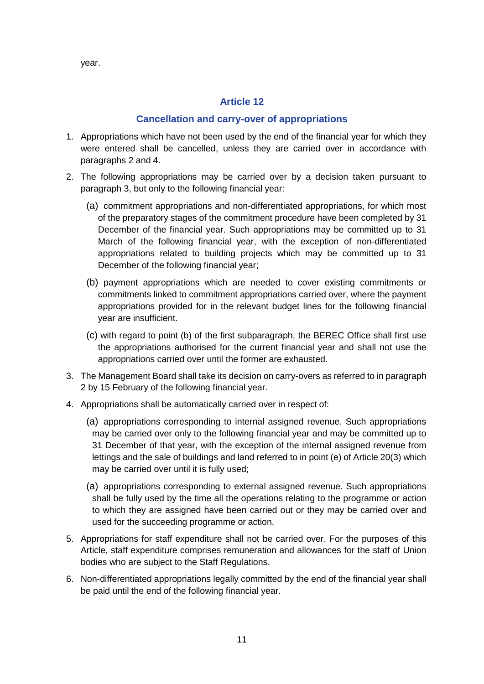year.

### **Article 12**

#### **Cancellation and carry-over of appropriations**

- 1. Appropriations which have not been used by the end of the financial year for which they were entered shall be cancelled, unless they are carried over in accordance with paragraphs 2 and 4.
- 2. The following appropriations may be carried over by a decision taken pursuant to paragraph 3, but only to the following financial year:
	- (a) commitment appropriations and non-differentiated appropriations, for which most of the preparatory stages of the commitment procedure have been completed by 31 December of the financial year. Such appropriations may be committed up to 31 March of the following financial year, with the exception of non-differentiated appropriations related to building projects which may be committed up to 31 December of the following financial year;
	- (b) payment appropriations which are needed to cover existing commitments or commitments linked to commitment appropriations carried over, where the payment appropriations provided for in the relevant budget lines for the following financial year are insufficient.
	- (c) with regard to point (b) of the first subparagraph, the BEREC Office shall first use the appropriations authorised for the current financial year and shall not use the appropriations carried over until the former are exhausted.
- 3. The Management Board shall take its decision on carry-overs as referred to in paragraph 2 by 15 February of the following financial year.
- 4. Appropriations shall be automatically carried over in respect of:
	- (a) appropriations corresponding to internal assigned revenue. Such appropriations may be carried over only to the following financial year and may be committed up to 31 December of that year, with the exception of the internal assigned revenue from lettings and the sale of buildings and land referred to in point (e) of Article 20(3) which may be carried over until it is fully used;
	- (a) appropriations corresponding to external assigned revenue. Such appropriations shall be fully used by the time all the operations relating to the programme or action to which they are assigned have been carried out or they may be carried over and used for the succeeding programme or action.
- 5. Appropriations for staff expenditure shall not be carried over. For the purposes of this Article, staff expenditure comprises remuneration and allowances for the staff of Union bodies who are subject to the Staff Regulations.
- 6. Non-differentiated appropriations legally committed by the end of the financial year shall be paid until the end of the following financial year.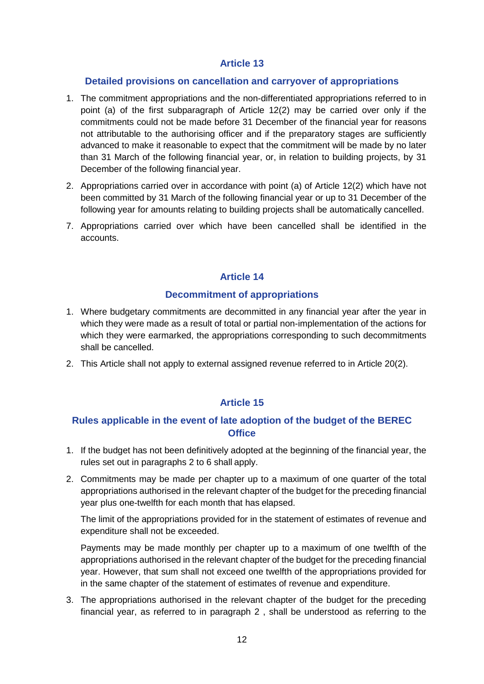#### **Detailed provisions on cancellation and carryover of appropriations**

- 1. The commitment appropriations and the non-differentiated appropriations referred to in point (a) of the first subparagraph of Article 12(2) may be carried over only if the commitments could not be made before 31 December of the financial year for reasons not attributable to the authorising officer and if the preparatory stages are sufficiently advanced to make it reasonable to expect that the commitment will be made by no later than 31 March of the following financial year, or, in relation to building projects, by 31 December of the following financial year.
- 2. Appropriations carried over in accordance with point (a) of Article 12(2) which have not been committed by 31 March of the following financial year or up to 31 December of the following year for amounts relating to building projects shall be automatically cancelled.
- 7. Appropriations carried over which have been cancelled shall be identified in the accounts.

## **Article 14**

#### **Decommitment of appropriations**

- 1. Where budgetary commitments are decommitted in any financial year after the year in which they were made as a result of total or partial non-implementation of the actions for which they were earmarked, the appropriations corresponding to such decommitments shall be cancelled.
- 2. This Article shall not apply to external assigned revenue referred to in Article 20(2).

## **Article 15**

### **Rules applicable in the event of late adoption of the budget of the BEREC Office**

- 1. If the budget has not been definitively adopted at the beginning of the financial year, the rules set out in paragraphs 2 to 6 shall apply.
- 2. Commitments may be made per chapter up to a maximum of one quarter of the total appropriations authorised in the relevant chapter of the budget for the preceding financial year plus one-twelfth for each month that has elapsed.

The limit of the appropriations provided for in the statement of estimates of revenue and expenditure shall not be exceeded.

Payments may be made monthly per chapter up to a maximum of one twelfth of the appropriations authorised in the relevant chapter of the budget for the preceding financial year. However, that sum shall not exceed one twelfth of the appropriations provided for in the same chapter of the statement of estimates of revenue and expenditure.

3. The appropriations authorised in the relevant chapter of the budget for the preceding financial year, as referred to in paragraph 2 , shall be understood as referring to the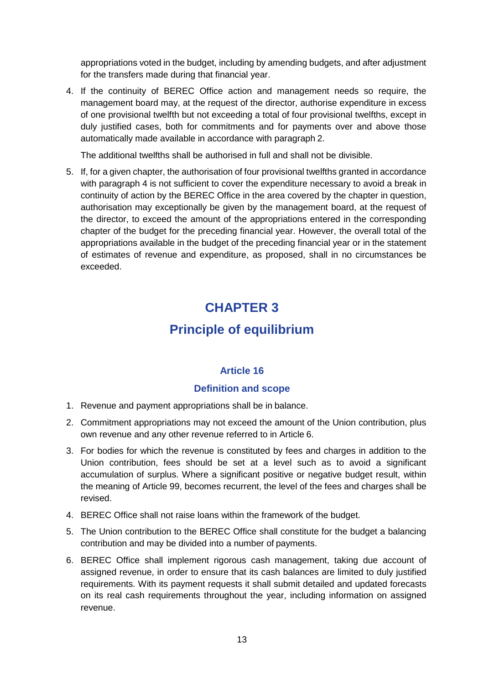appropriations voted in the budget, including by amending budgets, and after adjustment for the transfers made during that financial year.

4. If the continuity of BEREC Office action and management needs so require, the management board may, at the request of the director, authorise expenditure in excess of one provisional twelfth but not exceeding a total of four provisional twelfths, except in duly justified cases, both for commitments and for payments over and above those automatically made available in accordance with paragraph 2.

The additional twelfths shall be authorised in full and shall not be divisible.

5. If, for a given chapter, the authorisation of four provisional twelfths granted in accordance with paragraph 4 is not sufficient to cover the expenditure necessary to avoid a break in continuity of action by the BEREC Office in the area covered by the chapter in question, authorisation may exceptionally be given by the management board, at the request of the director, to exceed the amount of the appropriations entered in the corresponding chapter of the budget for the preceding financial year. However, the overall total of the appropriations available in the budget of the preceding financial year or in the statement of estimates of revenue and expenditure, as proposed, shall in no circumstances be exceeded.

# **CHAPTER 3**

# **Principle of equilibrium**

## **Article 16**

#### **Definition and scope**

- 1. Revenue and payment appropriations shall be in balance.
- 2. Commitment appropriations may not exceed the amount of the Union contribution, plus own revenue and any other revenue referred to in Article 6.
- 3. For bodies for which the revenue is constituted by fees and charges in addition to the Union contribution, fees should be set at a level such as to avoid a significant accumulation of surplus. Where a significant positive or negative budget result, within the meaning of Article 99, becomes recurrent, the level of the fees and charges shall be revised.
- 4. BEREC Office shall not raise loans within the framework of the budget.
- 5. The Union contribution to the BEREC Office shall constitute for the budget a balancing contribution and may be divided into a number of payments.
- 6. BEREC Office shall implement rigorous cash management, taking due account of assigned revenue, in order to ensure that its cash balances are limited to duly justified requirements. With its payment requests it shall submit detailed and updated forecasts on its real cash requirements throughout the year, including information on assigned revenue.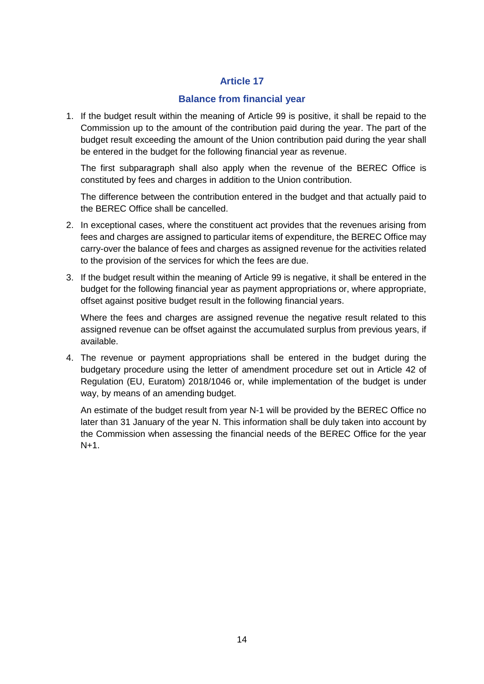#### **Balance from financial year**

1. If the budget result within the meaning of Article 99 is positive, it shall be repaid to the Commission up to the amount of the contribution paid during the year. The part of the budget result exceeding the amount of the Union contribution paid during the year shall be entered in the budget for the following financial year as revenue.

The first subparagraph shall also apply when the revenue of the BEREC Office is constituted by fees and charges in addition to the Union contribution.

The difference between the contribution entered in the budget and that actually paid to the BEREC Office shall be cancelled.

- 2. In exceptional cases, where the constituent act provides that the revenues arising from fees and charges are assigned to particular items of expenditure, the BEREC Office may carry-over the balance of fees and charges as assigned revenue for the activities related to the provision of the services for which the fees are due.
- 3. If the budget result within the meaning of Article 99 is negative, it shall be entered in the budget for the following financial year as payment appropriations or, where appropriate, offset against positive budget result in the following financial years.

Where the fees and charges are assigned revenue the negative result related to this assigned revenue can be offset against the accumulated surplus from previous years, if available.

4. The revenue or payment appropriations shall be entered in the budget during the budgetary procedure using the letter of amendment procedure set out in Article 42 of Regulation (EU, Euratom) 2018/1046 or, while implementation of the budget is under way, by means of an amending budget.

An estimate of the budget result from year N-1 will be provided by the BEREC Office no later than 31 January of the year N. This information shall be duly taken into account by the Commission when assessing the financial needs of the BEREC Office for the year N+1.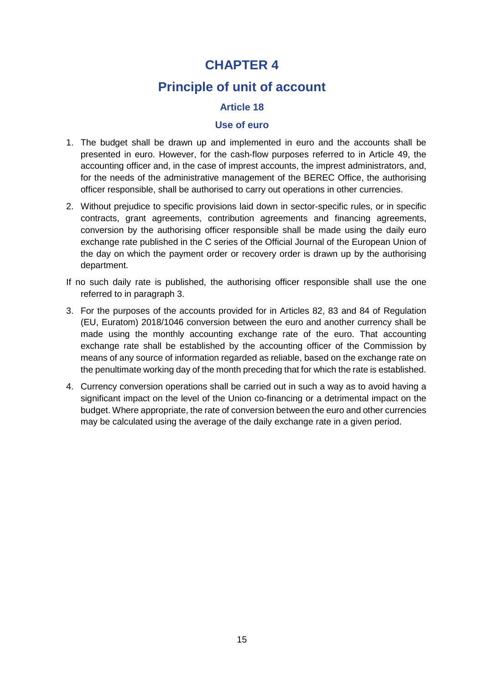# **CHAPTER 4**

# **Principle of unit of account**

## **Article 18**

#### **Use of euro**

- 1. The budget shall be drawn up and implemented in euro and the accounts shall be presented in euro. However, for the cash-flow purposes referred to in Article 49, the accounting officer and, in the case of imprest accounts, the imprest administrators, and, for the needs of the administrative management of the BEREC Office, the authorising officer responsible, shall be authorised to carry out operations in other currencies.
- 2. Without prejudice to specific provisions laid down in sector-specific rules, or in specific contracts, grant agreements, contribution agreements and financing agreements, conversion by the authorising officer responsible shall be made using the daily euro exchange rate published in the C series of the Official Journal of the European Union of the day on which the payment order or recovery order is drawn up by the authorising department.
- If no such daily rate is published, the authorising officer responsible shall use the one referred to in paragraph 3.
- 3. For the purposes of the accounts provided for in Articles 82, 83 and 84 of Regulation (EU, Euratom) 2018/1046 conversion between the euro and another currency shall be made using the monthly accounting exchange rate of the euro. That accounting exchange rate shall be established by the accounting officer of the Commission by means of any source of information regarded as reliable, based on the exchange rate on the penultimate working day of the month preceding that for which the rate is established.
- 4. Currency conversion operations shall be carried out in such a way as to avoid having a significant impact on the level of the Union co-financing or a detrimental impact on the budget. Where appropriate, the rate of conversion between the euro and other currencies may be calculated using the average of the daily exchange rate in a given period.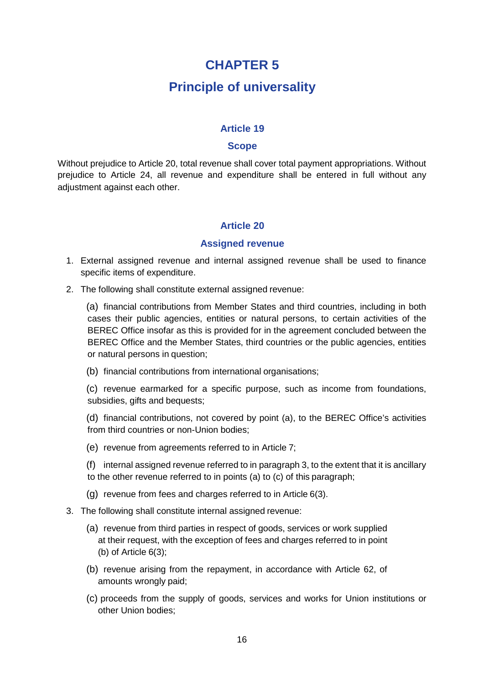# **CHAPTER 5**

# **Principle of universality**

#### **Article 19**

#### **Scope**

Without prejudice to Article 20, total revenue shall cover total payment appropriations. Without prejudice to Article 24, all revenue and expenditure shall be entered in full without any adjustment against each other.

#### **Article 20**

#### **Assigned revenue**

- 1. External assigned revenue and internal assigned revenue shall be used to finance specific items of expenditure.
- 2. The following shall constitute external assigned revenue:

(a) financial contributions from Member States and third countries, including in both cases their public agencies, entities or natural persons, to certain activities of the BEREC Office insofar as this is provided for in the agreement concluded between the BEREC Office and the Member States, third countries or the public agencies, entities or natural persons in question;

(b) financial contributions from international organisations;

(c) revenue earmarked for a specific purpose, such as income from foundations, subsidies, gifts and bequests;

(d) financial contributions, not covered by point (a), to the BEREC Office's activities from third countries or non-Union bodies;

- (e) revenue from agreements referred to in Article 7;
- (f) internal assigned revenue referred to in paragraph 3, to the extent that it is ancillary to the other revenue referred to in points (a) to (c) of this paragraph;
- (g) revenue from fees and charges referred to in Article 6(3).
- 3. The following shall constitute internal assigned revenue:
	- (a) revenue from third parties in respect of goods, services or work supplied at their request, with the exception of fees and charges referred to in point (b) of Article 6(3);
	- (b) revenue arising from the repayment, in accordance with Article 62, of amounts wrongly paid;
	- (c) proceeds from the supply of goods, services and works for Union institutions or other Union bodies;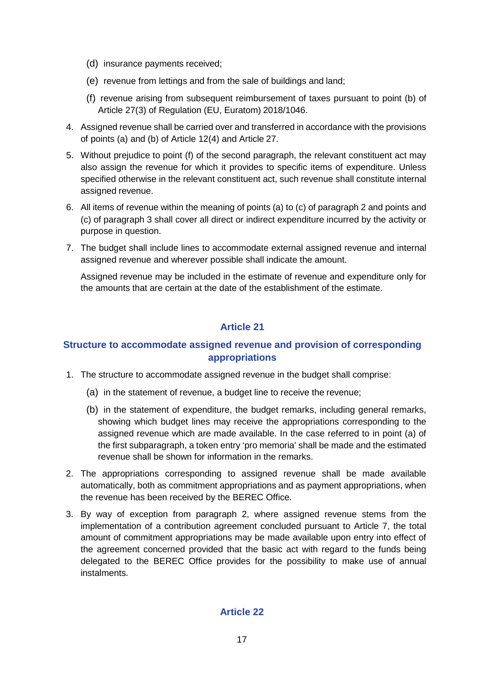- (d) insurance payments received;
- (e) revenue from lettings and from the sale of buildings and land;
- (f) revenue arising from subsequent reimbursement of taxes pursuant to point (b) of Article 27(3) of Regulation (EU, Euratom) 2018/1046.
- 4. Assigned revenue shall be carried over and transferred in accordance with the provisions of points (a) and (b) of Article 12(4) and Article 27.
- 5. Without prejudice to point (f) of the second paragraph, the relevant constituent act may also assign the revenue for which it provides to specific items of expenditure. Unless specified otherwise in the relevant constituent act, such revenue shall constitute internal assigned revenue.
- 6. All items of revenue within the meaning of points (a) to (c) of paragraph 2 and points and (c) of paragraph 3 shall cover all direct or indirect expenditure incurred by the activity or purpose in question.
- 7. The budget shall include lines to accommodate external assigned revenue and internal assigned revenue and wherever possible shall indicate the amount.

Assigned revenue may be included in the estimate of revenue and expenditure only for the amounts that are certain at the date of the establishment of the estimate.

### **Article 21**

### **Structure to accommodate assigned revenue and provision of corresponding appropriations**

- 1. The structure to accommodate assigned revenue in the budget shall comprise:
	- (a) in the statement of revenue, a budget line to receive the revenue;
	- (b) in the statement of expenditure, the budget remarks, including general remarks, showing which budget lines may receive the appropriations corresponding to the assigned revenue which are made available. In the case referred to in point (a) of the first subparagraph, a token entry 'pro memoria' shall be made and the estimated revenue shall be shown for information in the remarks.
- 2. The appropriations corresponding to assigned revenue shall be made available automatically, both as commitment appropriations and as payment appropriations, when the revenue has been received by the BEREC Office.
- 3. By way of exception from paragraph 2, where assigned revenue stems from the implementation of a contribution agreement concluded pursuant to Article 7, the total amount of commitment appropriations may be made available upon entry into effect of the agreement concerned provided that the basic act with regard to the funds being delegated to the BEREC Office provides for the possibility to make use of annual instalments.

#### **Article 22**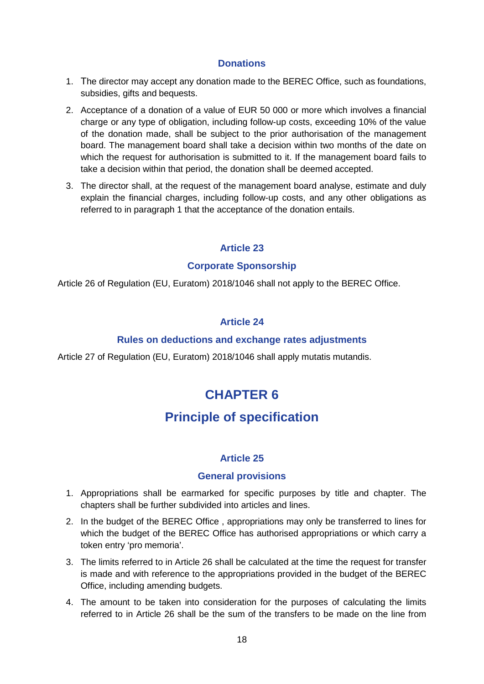#### **Donations**

- 1. The director may accept any donation made to the BEREC Office, such as foundations, subsidies, gifts and bequests.
- 2. Acceptance of a donation of a value of EUR 50 000 or more which involves a financial charge or any type of obligation, including follow-up costs, exceeding 10% of the value of the donation made, shall be subject to the prior authorisation of the management board. The management board shall take a decision within two months of the date on which the request for authorisation is submitted to it. If the management board fails to take a decision within that period, the donation shall be deemed accepted.
- 3. The director shall, at the request of the management board analyse, estimate and duly explain the financial charges, including follow-up costs, and any other obligations as referred to in paragraph 1 that the acceptance of the donation entails.

### **Article 23**

#### **Corporate Sponsorship**

Article 26 of Regulation (EU, Euratom) 2018/1046 shall not apply to the BEREC Office.

### **Article 24**

#### **Rules on deductions and exchange rates adjustments**

Article 27 of Regulation (EU, Euratom) 2018/1046 shall apply mutatis mutandis.

# **CHAPTER 6**

# **Principle of specification**

#### **Article 25**

#### **General provisions**

- 1. Appropriations shall be earmarked for specific purposes by title and chapter. The chapters shall be further subdivided into articles and lines.
- 2. In the budget of the BEREC Office , appropriations may only be transferred to lines for which the budget of the BEREC Office has authorised appropriations or which carry a token entry 'pro memoria'.
- 3. The limits referred to in Article 26 shall be calculated at the time the request for transfer is made and with reference to the appropriations provided in the budget of the BEREC Office, including amending budgets.
- 4. The amount to be taken into consideration for the purposes of calculating the limits referred to in Article 26 shall be the sum of the transfers to be made on the line from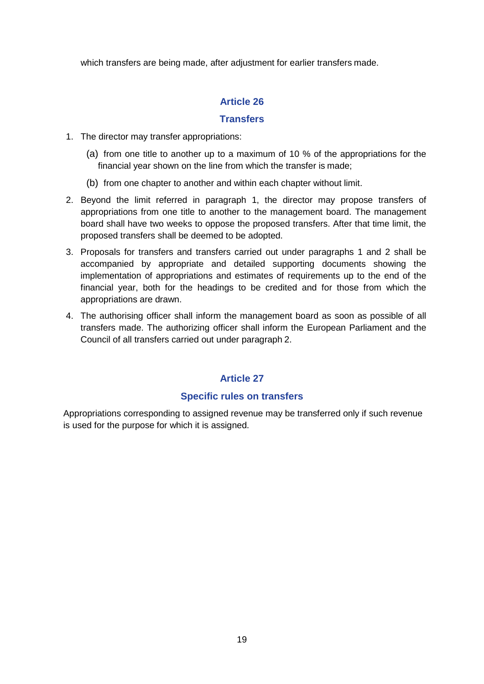which transfers are being made, after adjustment for earlier transfers made.

## **Article 26**

#### **Transfers**

- 1. The director may transfer appropriations:
	- (a) from one title to another up to a maximum of 10 % of the appropriations for the financial year shown on the line from which the transfer is made;
	- (b) from one chapter to another and within each chapter without limit.
- 2. Beyond the limit referred in paragraph 1, the director may propose transfers of appropriations from one title to another to the management board. The management board shall have two weeks to oppose the proposed transfers. After that time limit, the proposed transfers shall be deemed to be adopted.
- 3. Proposals for transfers and transfers carried out under paragraphs 1 and 2 shall be accompanied by appropriate and detailed supporting documents showing the implementation of appropriations and estimates of requirements up to the end of the financial year, both for the headings to be credited and for those from which the appropriations are drawn.
- 4. The authorising officer shall inform the management board as soon as possible of all transfers made. The authorizing officer shall inform the European Parliament and the Council of all transfers carried out under paragraph 2.

# **Article 27**

#### **Specific rules on transfers**

Appropriations corresponding to assigned revenue may be transferred only if such revenue is used for the purpose for which it is assigned.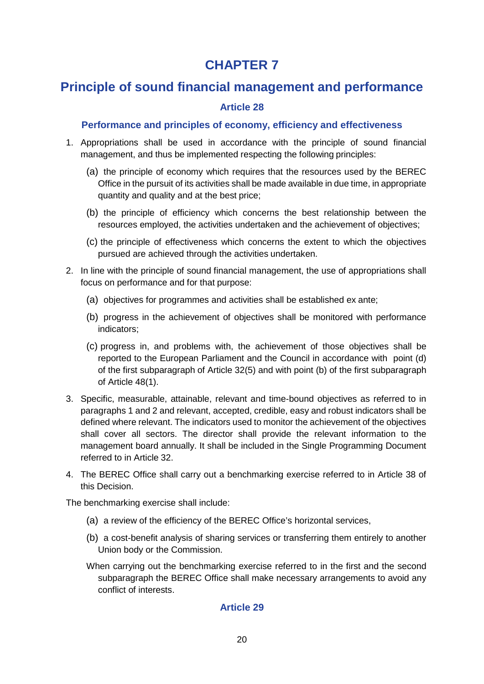# **CHAPTER 7**

# **Principle of sound financial management and performance**

## **Article 28**

## **Performance and principles of economy, efficiency and effectiveness**

- 1. Appropriations shall be used in accordance with the principle of sound financial management, and thus be implemented respecting the following principles:
	- (a) the principle of economy which requires that the resources used by the BEREC Office in the pursuit of its activities shall be made available in due time, in appropriate quantity and quality and at the best price;
	- (b) the principle of efficiency which concerns the best relationship between the resources employed, the activities undertaken and the achievement of objectives;
	- (c) the principle of effectiveness which concerns the extent to which the objectives pursued are achieved through the activities undertaken.
- 2. In line with the principle of sound financial management, the use of appropriations shall focus on performance and for that purpose:
	- (a) objectives for programmes and activities shall be established ex ante;
	- (b) progress in the achievement of objectives shall be monitored with performance indicators;
	- (c) progress in, and problems with, the achievement of those objectives shall be reported to the European Parliament and the Council in accordance with point (d) of the first subparagraph of Article 32(5) and with point (b) of the first subparagraph of Article 48(1).
- 3. Specific, measurable, attainable, relevant and time-bound objectives as referred to in paragraphs 1 and 2 and relevant, accepted, credible, easy and robust indicators shall be defined where relevant. The indicators used to monitor the achievement of the objectives shall cover all sectors. The director shall provide the relevant information to the management board annually. It shall be included in the Single Programming Document referred to in Article 32.
- 4. The BEREC Office shall carry out a benchmarking exercise referred to in Article 38 of this Decision.

The benchmarking exercise shall include:

- (a) a review of the efficiency of the BEREC Office's horizontal services,
- (b) a cost-benefit analysis of sharing services or transferring them entirely to another Union body or the Commission.
- When carrying out the benchmarking exercise referred to in the first and the second subparagraph the BEREC Office shall make necessary arrangements to avoid any conflict of interests.

## **Article 29**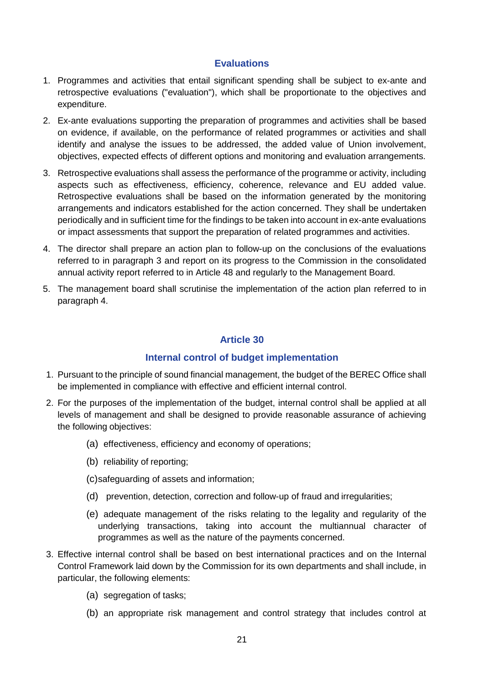#### **Evaluations**

- 1. Programmes and activities that entail significant spending shall be subject to ex-ante and retrospective evaluations ("evaluation"), which shall be proportionate to the objectives and expenditure.
- 2. Ex-ante evaluations supporting the preparation of programmes and activities shall be based on evidence, if available, on the performance of related programmes or activities and shall identify and analyse the issues to be addressed, the added value of Union involvement, objectives, expected effects of different options and monitoring and evaluation arrangements.
- 3. Retrospective evaluations shall assess the performance of the programme or activity, including aspects such as effectiveness, efficiency, coherence, relevance and EU added value. Retrospective evaluations shall be based on the information generated by the monitoring arrangements and indicators established for the action concerned. They shall be undertaken periodically and in sufficient time for the findings to be taken into account in ex-ante evaluations or impact assessments that support the preparation of related programmes and activities.
- 4. The director shall prepare an action plan to follow-up on the conclusions of the evaluations referred to in paragraph 3 and report on its progress to the Commission in the consolidated annual activity report referred to in Article 48 and regularly to the Management Board.
- 5. The management board shall scrutinise the implementation of the action plan referred to in paragraph 4.

#### **Article 30**

#### **Internal control of budget implementation**

- 1. Pursuant to the principle of sound financial management, the budget of the BEREC Office shall be implemented in compliance with effective and efficient internal control.
- 2. For the purposes of the implementation of the budget, internal control shall be applied at all levels of management and shall be designed to provide reasonable assurance of achieving the following objectives:
	- (a) effectiveness, efficiency and economy of operations;
	- (b) reliability of reporting;
	- (c)safeguarding of assets and information;
	- (d) prevention, detection, correction and follow-up of fraud and irregularities;
	- (e) adequate management of the risks relating to the legality and regularity of the underlying transactions, taking into account the multiannual character of programmes as well as the nature of the payments concerned.
- 3. Effective internal control shall be based on best international practices and on the Internal Control Framework laid down by the Commission for its own departments and shall include, in particular, the following elements:
	- (a) segregation of tasks;
	- (b) an appropriate risk management and control strategy that includes control at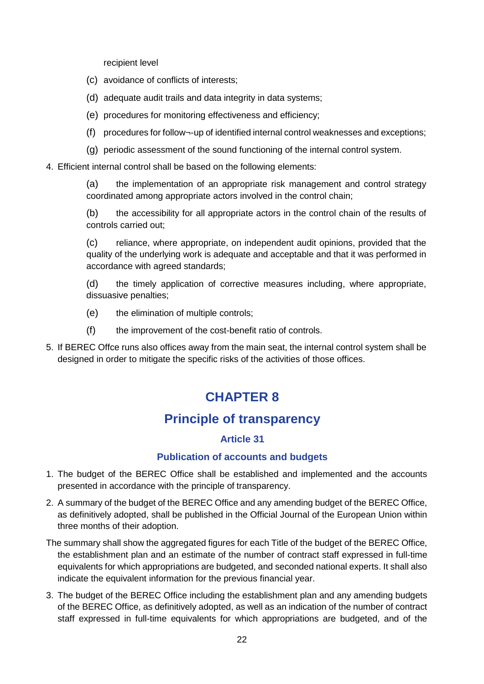recipient level

- (c) avoidance of conflicts of interests;
- (d) adequate audit trails and data integrity in data systems;
- (e) procedures for monitoring effectiveness and efficiency;
- (f) procedures for follow¬-up of identified internal control weaknesses and exceptions;
- (g) periodic assessment of the sound functioning of the internal control system.
- 4. Efficient internal control shall be based on the following elements:

(a) the implementation of an appropriate risk management and control strategy coordinated among appropriate actors involved in the control chain;

(b) the accessibility for all appropriate actors in the control chain of the results of controls carried out;

(c) reliance, where appropriate, on independent audit opinions, provided that the quality of the underlying work is adequate and acceptable and that it was performed in accordance with agreed standards;

(d) the timely application of corrective measures including, where appropriate, dissuasive penalties;

- (e) the elimination of multiple controls;
- (f) the improvement of the cost-benefit ratio of controls.
- 5. If BEREC Offce runs also offices away from the main seat, the internal control system shall be designed in order to mitigate the specific risks of the activities of those offices.

# **CHAPTER 8**

# **Principle of transparency**

#### **Article 31**

#### **Publication of accounts and budgets**

- 1. The budget of the BEREC Office shall be established and implemented and the accounts presented in accordance with the principle of transparency.
- 2. A summary of the budget of the BEREC Office and any amending budget of the BEREC Office, as definitively adopted, shall be published in the Official Journal of the European Union within three months of their adoption.
- The summary shall show the aggregated figures for each Title of the budget of the BEREC Office, the establishment plan and an estimate of the number of contract staff expressed in full-time equivalents for which appropriations are budgeted, and seconded national experts. It shall also indicate the equivalent information for the previous financial year.
- 3. The budget of the BEREC Office including the establishment plan and any amending budgets of the BEREC Office, as definitively adopted, as well as an indication of the number of contract staff expressed in full-time equivalents for which appropriations are budgeted, and of the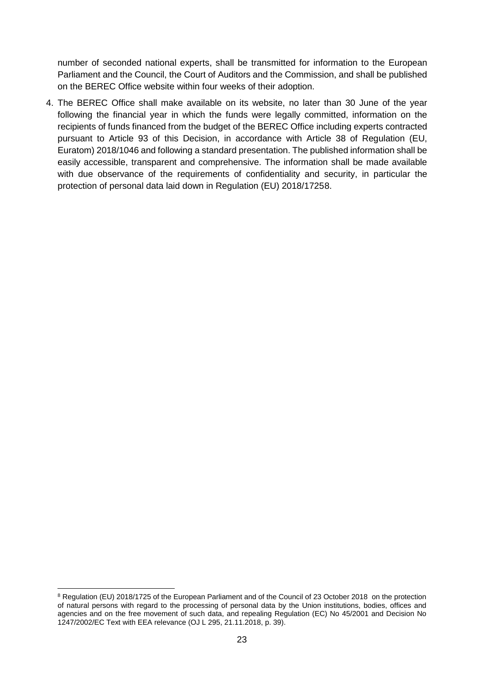number of seconded national experts, shall be transmitted for information to the European Parliament and the Council, the Court of Auditors and the Commission, and shall be published on the BEREC Office website within four weeks of their adoption.

4. The BEREC Office shall make available on its website, no later than 30 June of the year following the financial year in which the funds were legally committed, information on the recipients of funds financed from the budget of the BEREC Office including experts contracted pursuant to Article 93 of this Decision, in accordance with Article 38 of Regulation (EU, Euratom) 2018/1046 and following a standard presentation. The published information shall be easily accessible, transparent and comprehensive. The information shall be made available with due observance of the requirements of confidentiality and security, in particular the protection of personal data laid down in Regulation (EU) 2018/1725[8](#page-22-0).

<span id="page-22-0"></span> $\ddot{\phantom{a}}$ <sup>8</sup> Regulation (EU) 2018/1725 of the European Parliament and of the Council of 23 October 2018 on the protection of natural persons with regard to the processing of personal data by the Union institutions, bodies, offices and agencies and on the free movement of such data, and repealing Regulation (EC) No 45/2001 and Decision No 1247/2002/EC Text with EEA relevance (OJ L 295, 21.11.2018, p. 39).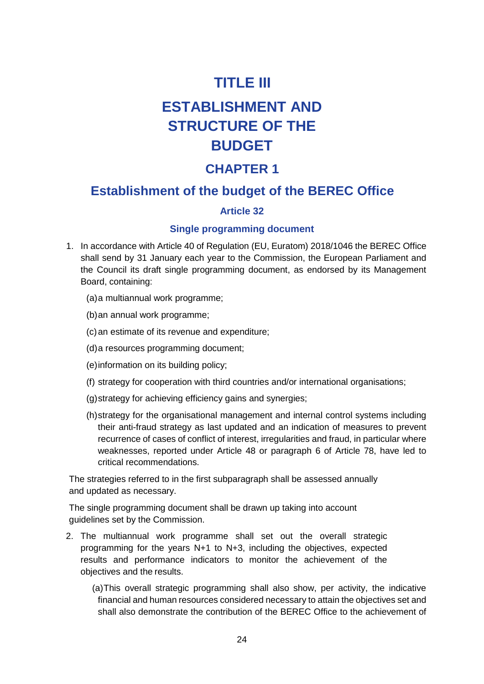# **TITLE III**

# **ESTABLISHMENT AND STRUCTURE OF THE BUDGET**

# **CHAPTER 1**

# **Establishment of the budget of the BEREC Office**

## **Article 32**

#### **Single programming document**

- 1. In accordance with Article 40 of Regulation (EU, Euratom) 2018/1046 the BEREC Office shall send by 31 January each year to the Commission, the European Parliament and the Council its draft single programming document, as endorsed by its Management Board, containing:
	- (a)a multiannual work programme;
	- (b)an annual work programme;
	- (c)an estimate of its revenue and expenditure;
	- (d)a resources programming document;
	- (e)information on its building policy;
	- (f) strategy for cooperation with third countries and/or international organisations;
	- (g)strategy for achieving efficiency gains and synergies;
	- (h)strategy for the organisational management and internal control systems including their anti-fraud strategy as last updated and an indication of measures to prevent recurrence of cases of conflict of interest, irregularities and fraud, in particular where weaknesses, reported under Article 48 or paragraph 6 of Article 78, have led to critical recommendations.

The strategies referred to in the first subparagraph shall be assessed annually and updated as necessary.

The single programming document shall be drawn up taking into account guidelines set by the Commission.

- 2. The multiannual work programme shall set out the overall strategic programming for the years N+1 to N+3, including the objectives, expected results and performance indicators to monitor the achievement of the objectives and the results.
	- (a)This overall strategic programming shall also show, per activity, the indicative financial and human resources considered necessary to attain the objectives set and shall also demonstrate the contribution of the BEREC Office to the achievement of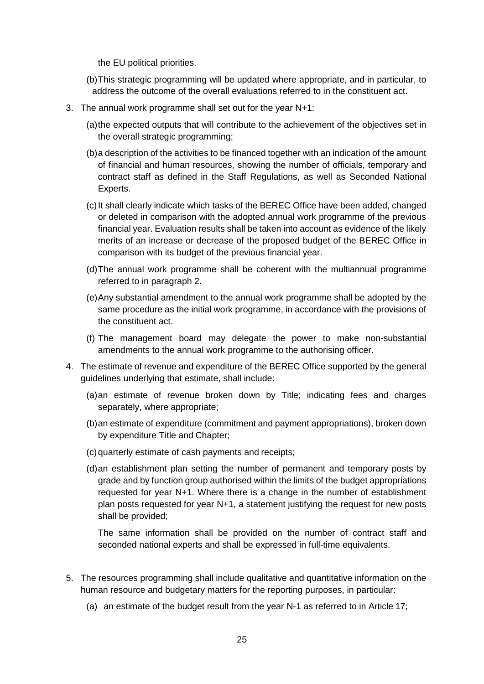the EU political priorities.

- (b)This strategic programming will be updated where appropriate, and in particular, to address the outcome of the overall evaluations referred to in the constituent act.
- 3. The annual work programme shall set out for the year N+1:
	- (a)the expected outputs that will contribute to the achievement of the objectives set in the overall strategic programming;
	- (b)a description of the activities to be financed together with an indication of the amount of financial and human resources, showing the number of officials, temporary and contract staff as defined in the Staff Regulations, as well as Seconded National Experts.
	- (c)It shall clearly indicate which tasks of the BEREC Office have been added, changed or deleted in comparison with the adopted annual work programme of the previous financial year. Evaluation results shall be taken into account as evidence of the likely merits of an increase or decrease of the proposed budget of the BEREC Office in comparison with its budget of the previous financial year.
	- (d)The annual work programme shall be coherent with the multiannual programme referred to in paragraph 2.
	- (e)Any substantial amendment to the annual work programme shall be adopted by the same procedure as the initial work programme, in accordance with the provisions of the constituent act.
	- (f) The management board may delegate the power to make non-substantial amendments to the annual work programme to the authorising officer.
- 4. The estimate of revenue and expenditure of the BEREC Office supported by the general guidelines underlying that estimate, shall include:
	- (a)an estimate of revenue broken down by Title; indicating fees and charges separately, where appropriate;
	- (b)an estimate of expenditure (commitment and payment appropriations), broken down by expenditure Title and Chapter;
	- (c)quarterly estimate of cash payments and receipts;
	- (d)an establishment plan setting the number of permanent and temporary posts by grade and by function group authorised within the limits of the budget appropriations requested for year N+1. Where there is a change in the number of establishment plan posts requested for year N+1, a statement justifying the request for new posts shall be provided;

The same information shall be provided on the number of contract staff and seconded national experts and shall be expressed in full-time equivalents.

- 5. The resources programming shall include qualitative and quantitative information on the human resource and budgetary matters for the reporting purposes, in particular:
	- (a) an estimate of the budget result from the year N-1 as referred to in Article 17;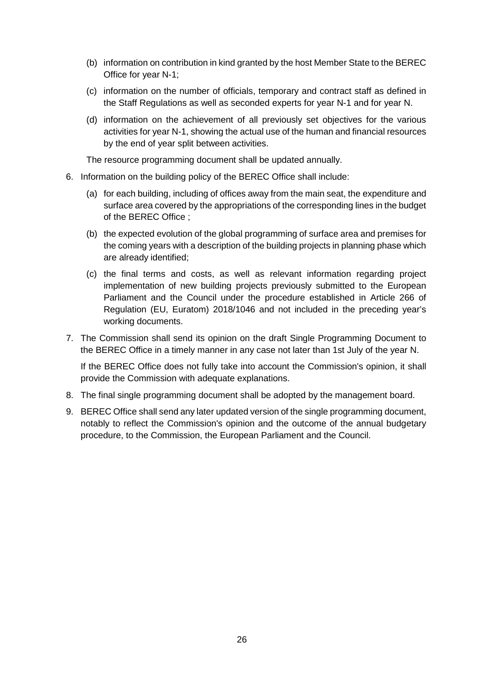- (b) information on contribution in kind granted by the host Member State to the BEREC Office for year N-1;
- (c) information on the number of officials, temporary and contract staff as defined in the Staff Regulations as well as seconded experts for year N-1 and for year N.
- (d) information on the achievement of all previously set objectives for the various activities for year N-1, showing the actual use of the human and financial resources by the end of year split between activities.

The resource programming document shall be updated annually.

- 6. Information on the building policy of the BEREC Office shall include:
	- (a) for each building, including of offices away from the main seat, the expenditure and surface area covered by the appropriations of the corresponding lines in the budget of the BEREC Office ;
	- (b) the expected evolution of the global programming of surface area and premises for the coming years with a description of the building projects in planning phase which are already identified;
	- (c) the final terms and costs, as well as relevant information regarding project implementation of new building projects previously submitted to the European Parliament and the Council under the procedure established in Article 266 of Regulation (EU, Euratom) 2018/1046 and not included in the preceding year's working documents.
- 7. The Commission shall send its opinion on the draft Single Programming Document to the BEREC Office in a timely manner in any case not later than 1st July of the year N.

If the BEREC Office does not fully take into account the Commission's opinion, it shall provide the Commission with adequate explanations.

- 8. The final single programming document shall be adopted by the management board.
- 9. BEREC Office shall send any later updated version of the single programming document, notably to reflect the Commission's opinion and the outcome of the annual budgetary procedure, to the Commission, the European Parliament and the Council.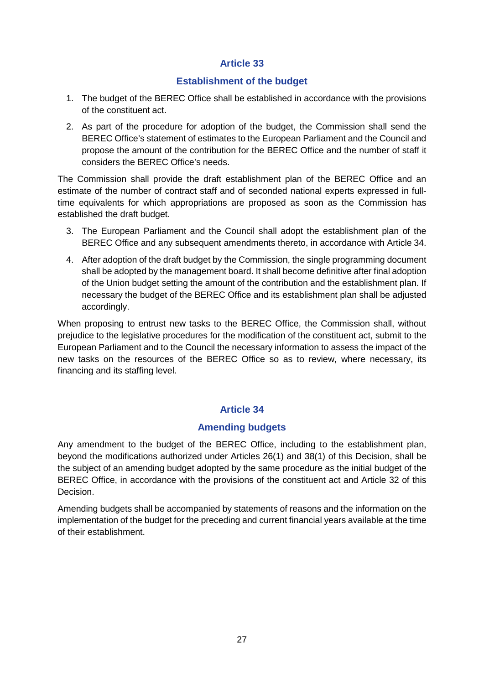### **Establishment of the budget**

- 1. The budget of the BEREC Office shall be established in accordance with the provisions of the constituent act.
- 2. As part of the procedure for adoption of the budget, the Commission shall send the BEREC Office's statement of estimates to the European Parliament and the Council and propose the amount of the contribution for the BEREC Office and the number of staff it considers the BEREC Office's needs.

The Commission shall provide the draft establishment plan of the BEREC Office and an estimate of the number of contract staff and of seconded national experts expressed in fulltime equivalents for which appropriations are proposed as soon as the Commission has established the draft budget.

- 3. The European Parliament and the Council shall adopt the establishment plan of the BEREC Office and any subsequent amendments thereto, in accordance with Article 34.
- 4. After adoption of the draft budget by the Commission, the single programming document shall be adopted by the management board. It shall become definitive after final adoption of the Union budget setting the amount of the contribution and the establishment plan. If necessary the budget of the BEREC Office and its establishment plan shall be adjusted accordingly.

When proposing to entrust new tasks to the BEREC Office, the Commission shall, without prejudice to the legislative procedures for the modification of the constituent act, submit to the European Parliament and to the Council the necessary information to assess the impact of the new tasks on the resources of the BEREC Office so as to review, where necessary, its financing and its staffing level.

## **Article 34**

## **Amending budgets**

Any amendment to the budget of the BEREC Office, including to the establishment plan, beyond the modifications authorized under Articles 26(1) and 38(1) of this Decision, shall be the subject of an amending budget adopted by the same procedure as the initial budget of the BEREC Office, in accordance with the provisions of the constituent act and Article 32 of this Decision.

Amending budgets shall be accompanied by statements of reasons and the information on the implementation of the budget for the preceding and current financial years available at the time of their establishment.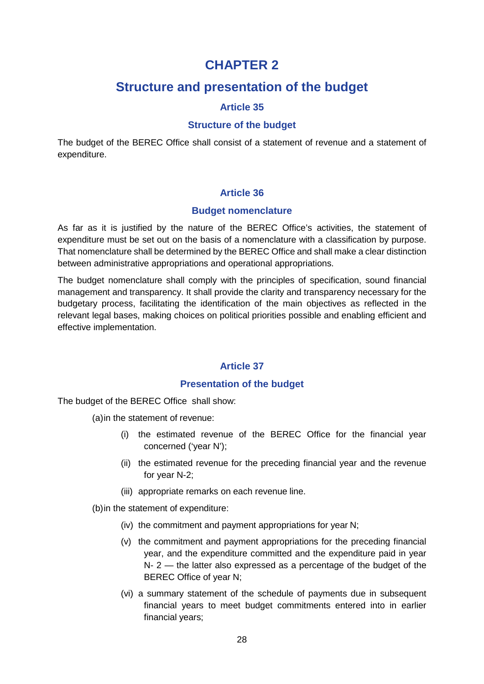# **CHAPTER 2**

# **Structure and presentation of the budget**

### **Article 35**

#### **Structure of the budget**

The budget of the BEREC Office shall consist of a statement of revenue and a statement of expenditure.

#### **Article 36**

#### **Budget nomenclature**

As far as it is justified by the nature of the BEREC Office's activities, the statement of expenditure must be set out on the basis of a nomenclature with a classification by purpose. That nomenclature shall be determined by the BEREC Office and shall make a clear distinction between administrative appropriations and operational appropriations.

The budget nomenclature shall comply with the principles of specification, sound financial management and transparency. It shall provide the clarity and transparency necessary for the budgetary process, facilitating the identification of the main objectives as reflected in the relevant legal bases, making choices on political priorities possible and enabling efficient and effective implementation.

#### **Article 37**

#### **Presentation of the budget**

The budget of the BEREC Office shall show:

(a)in the statement of revenue:

- (i) the estimated revenue of the BEREC Office for the financial year concerned ('year N');
- (ii) the estimated revenue for the preceding financial year and the revenue for year N-2;
- (iii) appropriate remarks on each revenue line.

(b)in the statement of expenditure:

- (iv) the commitment and payment appropriations for year N;
- (v) the commitment and payment appropriations for the preceding financial year, and the expenditure committed and the expenditure paid in year N- 2 — the latter also expressed as a percentage of the budget of the BEREC Office of year N;
- (vi) a summary statement of the schedule of payments due in subsequent financial years to meet budget commitments entered into in earlier financial years;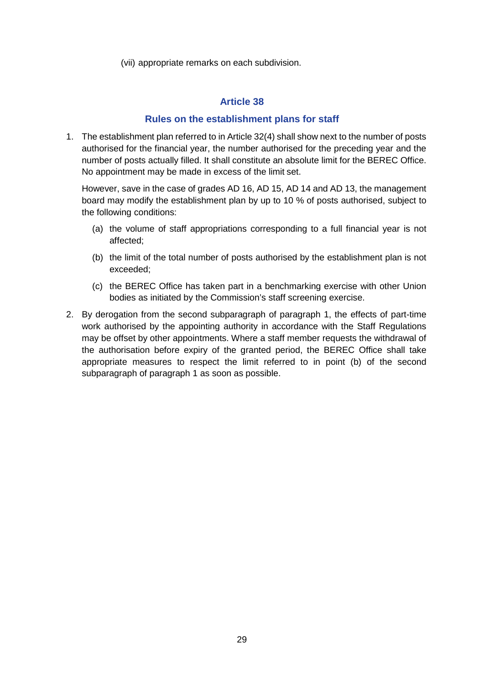(vii) appropriate remarks on each subdivision.

#### **Article 38**

#### **Rules on the establishment plans for staff**

1. The establishment plan referred to in Article 32(4) shall show next to the number of posts authorised for the financial year, the number authorised for the preceding year and the number of posts actually filled. It shall constitute an absolute limit for the BEREC Office. No appointment may be made in excess of the limit set.

However, save in the case of grades AD 16, AD 15, AD 14 and AD 13, the management board may modify the establishment plan by up to 10 % of posts authorised, subject to the following conditions:

- (a) the volume of staff appropriations corresponding to a full financial year is not affected;
- (b) the limit of the total number of posts authorised by the establishment plan is not exceeded;
- (c) the BEREC Office has taken part in a benchmarking exercise with other Union bodies as initiated by the Commission's staff screening exercise.
- 2. By derogation from the second subparagraph of paragraph 1, the effects of part-time work authorised by the appointing authority in accordance with the Staff Regulations may be offset by other appointments. Where a staff member requests the withdrawal of the authorisation before expiry of the granted period, the BEREC Office shall take appropriate measures to respect the limit referred to in point (b) of the second subparagraph of paragraph 1 as soon as possible.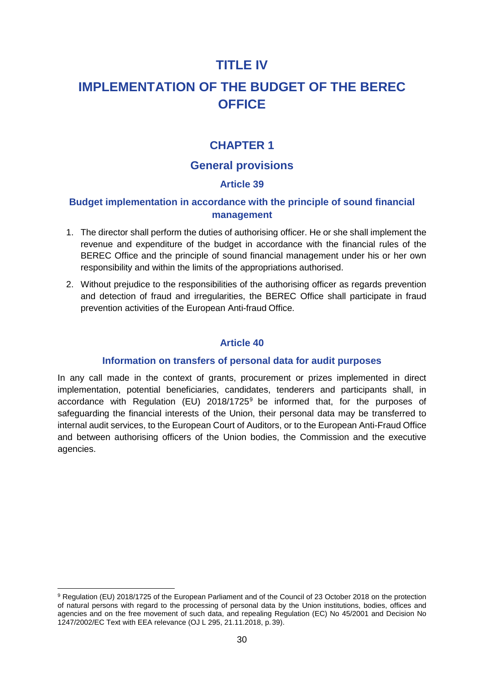# **TITLE IV**

# **IMPLEMENTATION OF THE BUDGET OF THE BEREC OFFICE**

# **CHAPTER 1**

# **General provisions**

### **Article 39**

## **Budget implementation in accordance with the principle of sound financial management**

- 1. The director shall perform the duties of authorising officer. He or she shall implement the revenue and expenditure of the budget in accordance with the financial rules of the BEREC Office and the principle of sound financial management under his or her own responsibility and within the limits of the appropriations authorised.
- 2. Without prejudice to the responsibilities of the authorising officer as regards prevention and detection of fraud and irregularities, the BEREC Office shall participate in fraud prevention activities of the European Anti-fraud Office.

#### **Article 40**

#### **Information on transfers of personal data for audit purposes**

In any call made in the context of grants, procurement or prizes implemented in direct implementation, potential beneficiaries, candidates, tenderers and participants shall, in accordance with Regulation (EU)  $2018/1725^9$  $2018/1725^9$  be informed that, for the purposes of safeguarding the financial interests of the Union, their personal data may be transferred to internal audit services, to the European Court of Auditors, or to the European Anti-Fraud Office and between authorising officers of the Union bodies, the Commission and the executive agencies.

<span id="page-29-0"></span> $\ddot{\phantom{a}}$ <sup>9</sup> Regulation (EU) 2018/1725 of the European Parliament and of the Council of 23 October 2018 on the protection of natural persons with regard to the processing of personal data by the Union institutions, bodies, offices and agencies and on the free movement of such data, and repealing Regulation (EC) No 45/2001 and Decision No 1247/2002/EC Text with EEA relevance (OJ L 295, 21.11.2018, p.39).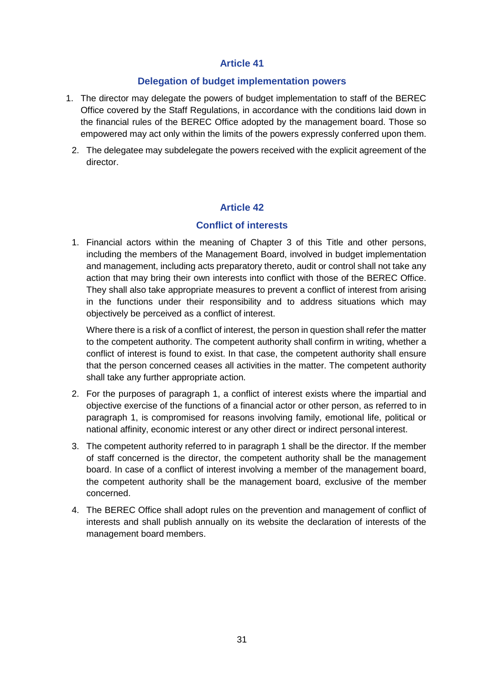#### **Delegation of budget implementation powers**

- 1. The director may delegate the powers of budget implementation to staff of the BEREC Office covered by the Staff Regulations, in accordance with the conditions laid down in the financial rules of the BEREC Office adopted by the management board. Those so empowered may act only within the limits of the powers expressly conferred upon them.
	- 2. The delegatee may subdelegate the powers received with the explicit agreement of the director.

### **Article 42**

#### **Conflict of interests**

1. Financial actors within the meaning of Chapter 3 of this Title and other persons, including the members of the Management Board, involved in budget implementation and management, including acts preparatory thereto, audit or control shall not take any action that may bring their own interests into conflict with those of the BEREC Office. They shall also take appropriate measures to prevent a conflict of interest from arising in the functions under their responsibility and to address situations which may objectively be perceived as a conflict of interest.

Where there is a risk of a conflict of interest, the person in question shall refer the matter to the competent authority. The competent authority shall confirm in writing, whether a conflict of interest is found to exist. In that case, the competent authority shall ensure that the person concerned ceases all activities in the matter. The competent authority shall take any further appropriate action.

- 2. For the purposes of paragraph 1, a conflict of interest exists where the impartial and objective exercise of the functions of a financial actor or other person, as referred to in paragraph 1, is compromised for reasons involving family, emotional life, political or national affinity, economic interest or any other direct or indirect personal interest.
- 3. The competent authority referred to in paragraph 1 shall be the director. If the member of staff concerned is the director, the competent authority shall be the management board. In case of a conflict of interest involving a member of the management board, the competent authority shall be the management board, exclusive of the member concerned.
- 4. The BEREC Office shall adopt rules on the prevention and management of conflict of interests and shall publish annually on its website the declaration of interests of the management board members.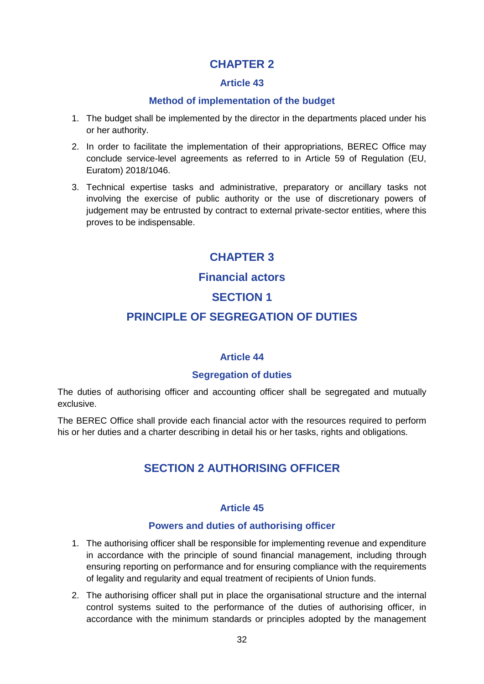# **CHAPTER 2**

#### **Article 43**

#### **Method of implementation of the budget**

- 1. The budget shall be implemented by the director in the departments placed under his or her authority.
- 2. In order to facilitate the implementation of their appropriations, BEREC Office may conclude service-level agreements as referred to in Article 59 of Regulation (EU, Euratom) 2018/1046.
- 3. Technical expertise tasks and administrative, preparatory or ancillary tasks not involving the exercise of public authority or the use of discretionary powers of judgement may be entrusted by contract to external private-sector entities, where this proves to be indispensable.

# **CHAPTER 3**

# **Financial actors**

# **SECTION 1**

# **PRINCIPLE OF SEGREGATION OF DUTIES**

#### **Article 44**

#### **Segregation of duties**

The duties of authorising officer and accounting officer shall be segregated and mutually exclusive.

The BEREC Office shall provide each financial actor with the resources required to perform his or her duties and a charter describing in detail his or her tasks, rights and obligations.

# **SECTION 2 AUTHORISING OFFICER**

#### **Article 45**

#### **Powers and duties of authorising officer**

- 1. The authorising officer shall be responsible for implementing revenue and expenditure in accordance with the principle of sound financial management, including through ensuring reporting on performance and for ensuring compliance with the requirements of legality and regularity and equal treatment of recipients of Union funds.
- 2. The authorising officer shall put in place the organisational structure and the internal control systems suited to the performance of the duties of authorising officer, in accordance with the minimum standards or principles adopted by the management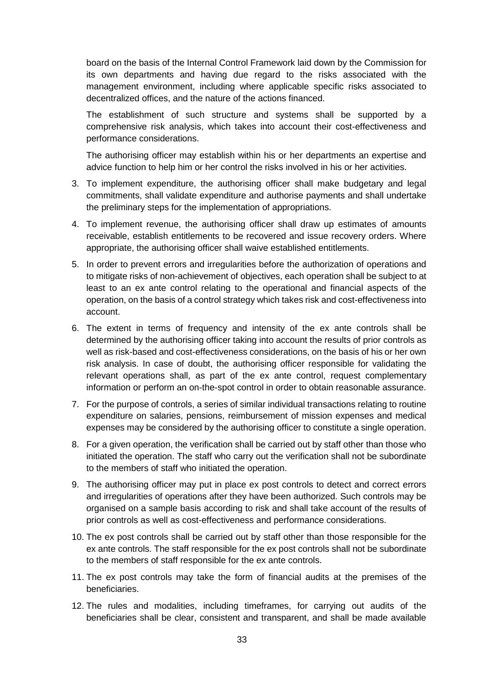board on the basis of the Internal Control Framework laid down by the Commission for its own departments and having due regard to the risks associated with the management environment, including where applicable specific risks associated to decentralized offices, and the nature of the actions financed.

The establishment of such structure and systems shall be supported by a comprehensive risk analysis, which takes into account their cost-effectiveness and performance considerations.

The authorising officer may establish within his or her departments an expertise and advice function to help him or her control the risks involved in his or her activities.

- 3. To implement expenditure, the authorising officer shall make budgetary and legal commitments, shall validate expenditure and authorise payments and shall undertake the preliminary steps for the implementation of appropriations.
- 4. To implement revenue, the authorising officer shall draw up estimates of amounts receivable, establish entitlements to be recovered and issue recovery orders. Where appropriate, the authorising officer shall waive established entitlements.
- 5. In order to prevent errors and irregularities before the authorization of operations and to mitigate risks of non-achievement of objectives, each operation shall be subject to at least to an ex ante control relating to the operational and financial aspects of the operation, on the basis of a control strategy which takes risk and cost-effectiveness into account.
- 6. The extent in terms of frequency and intensity of the ex ante controls shall be determined by the authorising officer taking into account the results of prior controls as well as risk-based and cost-effectiveness considerations, on the basis of his or her own risk analysis. In case of doubt, the authorising officer responsible for validating the relevant operations shall, as part of the ex ante control, request complementary information or perform an on-the-spot control in order to obtain reasonable assurance.
- 7. For the purpose of controls, a series of similar individual transactions relating to routine expenditure on salaries, pensions, reimbursement of mission expenses and medical expenses may be considered by the authorising officer to constitute a single operation.
- 8. For a given operation, the verification shall be carried out by staff other than those who initiated the operation. The staff who carry out the verification shall not be subordinate to the members of staff who initiated the operation.
- 9. The authorising officer may put in place ex post controls to detect and correct errors and irregularities of operations after they have been authorized. Such controls may be organised on a sample basis according to risk and shall take account of the results of prior controls as well as cost-effectiveness and performance considerations.
- 10. The ex post controls shall be carried out by staff other than those responsible for the ex ante controls. The staff responsible for the ex post controls shall not be subordinate to the members of staff responsible for the ex ante controls.
- 11. The ex post controls may take the form of financial audits at the premises of the beneficiaries.
- 12. The rules and modalities, including timeframes, for carrying out audits of the beneficiaries shall be clear, consistent and transparent, and shall be made available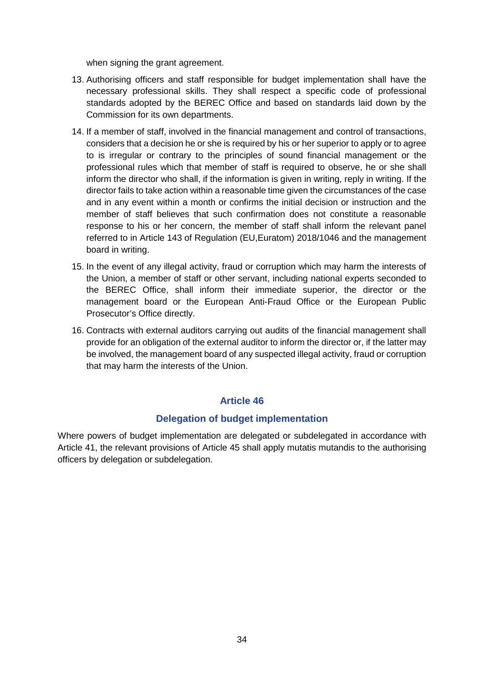when signing the grant agreement.

- 13. Authorising officers and staff responsible for budget implementation shall have the necessary professional skills. They shall respect a specific code of professional standards adopted by the BEREC Office and based on standards laid down by the Commission for its own departments.
- 14. If a member of staff, involved in the financial management and control of transactions, considers that a decision he or she is required by his or her superior to apply or to agree to is irregular or contrary to the principles of sound financial management or the professional rules which that member of staff is required to observe, he or she shall inform the director who shall, if the information is given in writing, reply in writing. If the director fails to take action within a reasonable time given the circumstances of the case and in any event within a month or confirms the initial decision or instruction and the member of staff believes that such confirmation does not constitute a reasonable response to his or her concern, the member of staff shall inform the relevant panel referred to in Article 143 of Regulation (EU,Euratom) 2018/1046 and the management board in writing.
- 15. In the event of any illegal activity, fraud or corruption which may harm the interests of the Union, a member of staff or other servant, including national experts seconded to the BEREC Office, shall inform their immediate superior, the director or the management board or the European Anti-Fraud Office or the European Public Prosecutor's Office directly.
- 16. Contracts with external auditors carrying out audits of the financial management shall provide for an obligation of the external auditor to inform the director or, if the latter may be involved, the management board of any suspected illegal activity, fraud or corruption that may harm the interests of the Union.

#### **Article 46**

#### **Delegation of budget implementation**

Where powers of budget implementation are delegated or subdelegated in accordance with Article 41, the relevant provisions of Article 45 shall apply mutatis mutandis to the authorising officers by delegation or subdelegation.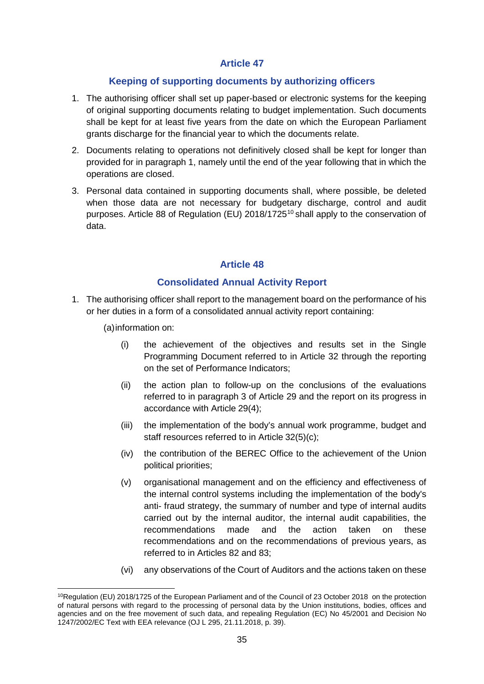#### **Keeping of supporting documents by authorizing officers**

- 1. The authorising officer shall set up paper-based or electronic systems for the keeping of original supporting documents relating to budget implementation. Such documents shall be kept for at least five years from the date on which the European Parliament grants discharge for the financial year to which the documents relate.
- 2. Documents relating to operations not definitively closed shall be kept for longer than provided for in paragraph 1, namely until the end of the year following that in which the operations are closed.
- 3. Personal data contained in supporting documents shall, where possible, be deleted when those data are not necessary for budgetary discharge, control and audit purposes. Article 88 of Regulation (EU) 2018/1725<sup>[10](#page-34-0)</sup> shall apply to the conservation of data.

#### **Article 48**

#### **Consolidated Annual Activity Report**

- 1. The authorising officer shall report to the management board on the performance of his or her duties in a form of a consolidated annual activity report containing:
	- (a)information on:
		- (i) the achievement of the objectives and results set in the Single Programming Document referred to in Article 32 through the reporting on the set of Performance Indicators;
		- (ii) the action plan to follow-up on the conclusions of the evaluations referred to in paragraph 3 of Article 29 and the report on its progress in accordance with Article 29(4);
		- (iii) the implementation of the body's annual work programme, budget and staff resources referred to in Article 32(5)(c);
		- (iv) the contribution of the BEREC Office to the achievement of the Union political priorities;
		- (v) organisational management and on the efficiency and effectiveness of the internal control systems including the implementation of the body's anti- fraud strategy, the summary of number and type of internal audits carried out by the internal auditor, the internal audit capabilities, the recommendations made and the action taken on these recommendations and on the recommendations of previous years, as referred to in Articles 82 and 83;
		- (vi) any observations of the Court of Auditors and the actions taken on these

<span id="page-34-0"></span> $\overline{a}$ 10Regulation (EU) 2018/1725 of the European Parliament and of the Council of 23 October 2018 on the protection of natural persons with regard to the processing of personal data by the Union institutions, bodies, offices and agencies and on the free movement of such data, and repealing Regulation (EC) No 45/2001 and Decision No 1247/2002/EC Text with EEA relevance (OJ L 295, 21.11.2018, p. 39).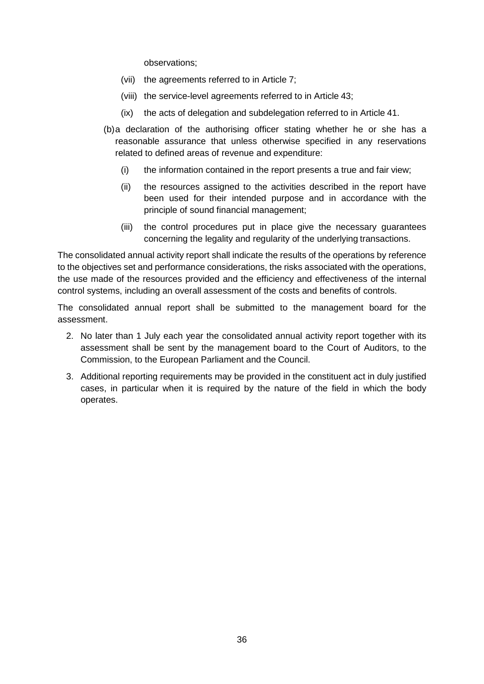observations;

- (vii) the agreements referred to in Article 7;
- (viii) the service-level agreements referred to in Article 43;
- (ix) the acts of delegation and subdelegation referred to in Article 41.
- (b)a declaration of the authorising officer stating whether he or she has a reasonable assurance that unless otherwise specified in any reservations related to defined areas of revenue and expenditure:
	- (i) the information contained in the report presents a true and fair view;
	- (ii) the resources assigned to the activities described in the report have been used for their intended purpose and in accordance with the principle of sound financial management;
	- (iii) the control procedures put in place give the necessary guarantees concerning the legality and regularity of the underlying transactions.

The consolidated annual activity report shall indicate the results of the operations by reference to the objectives set and performance considerations, the risks associated with the operations, the use made of the resources provided and the efficiency and effectiveness of the internal control systems, including an overall assessment of the costs and benefits of controls.

The consolidated annual report shall be submitted to the management board for the assessment.

- 2. No later than 1 July each year the consolidated annual activity report together with its assessment shall be sent by the management board to the Court of Auditors, to the Commission, to the European Parliament and the Council.
- 3. Additional reporting requirements may be provided in the constituent act in duly justified cases, in particular when it is required by the nature of the field in which the body operates.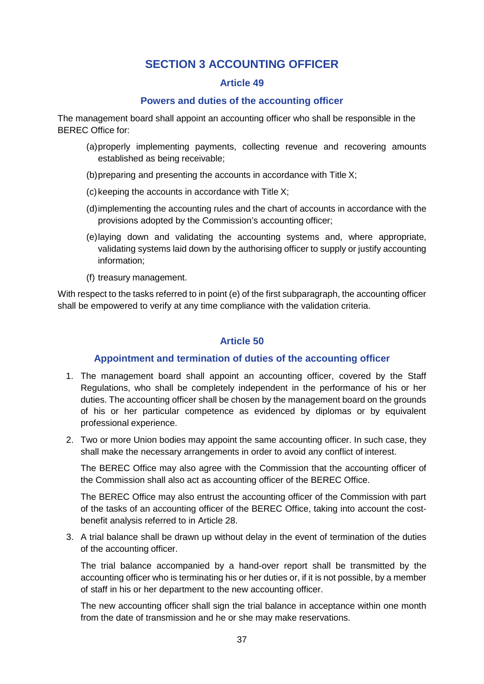# **SECTION 3 ACCOUNTING OFFICER**

#### **Article 49**

#### **Powers and duties of the accounting officer**

The management board shall appoint an accounting officer who shall be responsible in the BEREC Office for:

- (a)properly implementing payments, collecting revenue and recovering amounts established as being receivable;
- (b)preparing and presenting the accounts in accordance with Title X;
- $(c)$  keeping the accounts in accordance with Title X;
- (d)implementing the accounting rules and the chart of accounts in accordance with the provisions adopted by the Commission's accounting officer;
- (e)laying down and validating the accounting systems and, where appropriate, validating systems laid down by the authorising officer to supply or justify accounting information;
- (f) treasury management.

With respect to the tasks referred to in point (e) of the first subparagraph, the accounting officer shall be empowered to verify at any time compliance with the validation criteria.

#### **Article 50**

#### **Appointment and termination of duties of the accounting officer**

- 1. The management board shall appoint an accounting officer, covered by the Staff Regulations, who shall be completely independent in the performance of his or her duties. The accounting officer shall be chosen by the management board on the grounds of his or her particular competence as evidenced by diplomas or by equivalent professional experience.
- 2. Two or more Union bodies may appoint the same accounting officer. In such case, they shall make the necessary arrangements in order to avoid any conflict of interest.

The BEREC Office may also agree with the Commission that the accounting officer of the Commission shall also act as accounting officer of the BEREC Office.

The BEREC Office may also entrust the accounting officer of the Commission with part of the tasks of an accounting officer of the BEREC Office, taking into account the costbenefit analysis referred to in Article 28.

3. A trial balance shall be drawn up without delay in the event of termination of the duties of the accounting officer.

The trial balance accompanied by a hand-over report shall be transmitted by the accounting officer who is terminating his or her duties or, if it is not possible, by a member of staff in his or her department to the new accounting officer.

The new accounting officer shall sign the trial balance in acceptance within one month from the date of transmission and he or she may make reservations.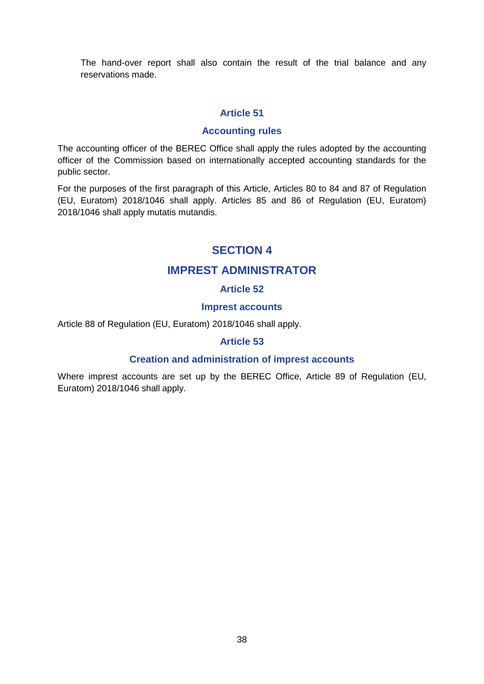The hand-over report shall also contain the result of the trial balance and any reservations made.

#### **Article 51**

#### **Accounting rules**

The accounting officer of the BEREC Office shall apply the rules adopted by the accounting officer of the Commission based on internationally accepted accounting standards for the public sector.

For the purposes of the first paragraph of this Article, Articles 80 to 84 and 87 of Regulation (EU, Euratom) 2018/1046 shall apply. Articles 85 and 86 of Regulation (EU, Euratom) 2018/1046 shall apply mutatis mutandis.

# **SECTION 4**

# **IMPREST ADMINISTRATOR**

### **Article 52**

#### **Imprest accounts**

Article 88 of Regulation (EU, Euratom) 2018/1046 shall apply.

#### **Article 53**

#### **Creation and administration of imprest accounts**

Where imprest accounts are set up by the BEREC Office, Article 89 of Regulation (EU, Euratom) 2018/1046 shall apply.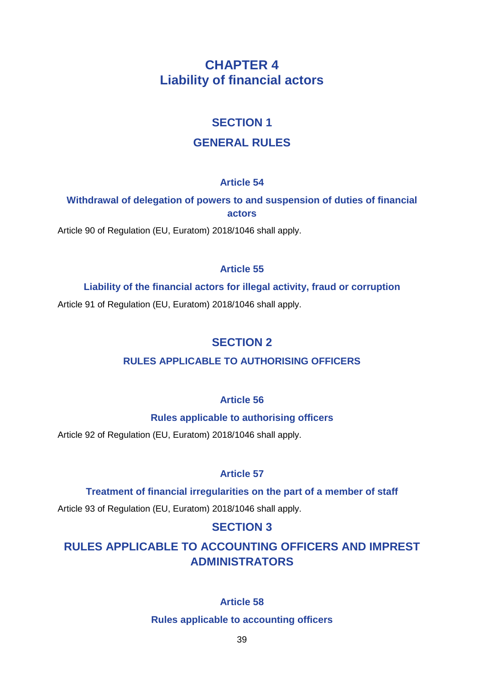# **CHAPTER 4 Liability of financial actors**

# **SECTION 1**

# **GENERAL RULES**

# **Article 54**

# **Withdrawal of delegation of powers to and suspension of duties of financial actors**

Article 90 of Regulation (EU, Euratom) 2018/1046 shall apply.

# **Article 55**

# **Liability of the financial actors for illegal activity, fraud or corruption**

Article 91 of Regulation (EU, Euratom) 2018/1046 shall apply.

# **SECTION 2**

# **RULES APPLICABLE TO AUTHORISING OFFICERS**

# **Article 56**

# **Rules applicable to authorising officers**

Article 92 of Regulation (EU, Euratom) 2018/1046 shall apply.

# **Article 57**

# **Treatment of financial irregularities on the part of a member of staff**

Article 93 of Regulation (EU, Euratom) 2018/1046 shall apply.

# **SECTION 3**

# **RULES APPLICABLE TO ACCOUNTING OFFICERS AND IMPREST ADMINISTRATORS**

# **Article 58**

#### **Rules applicable to accounting officers**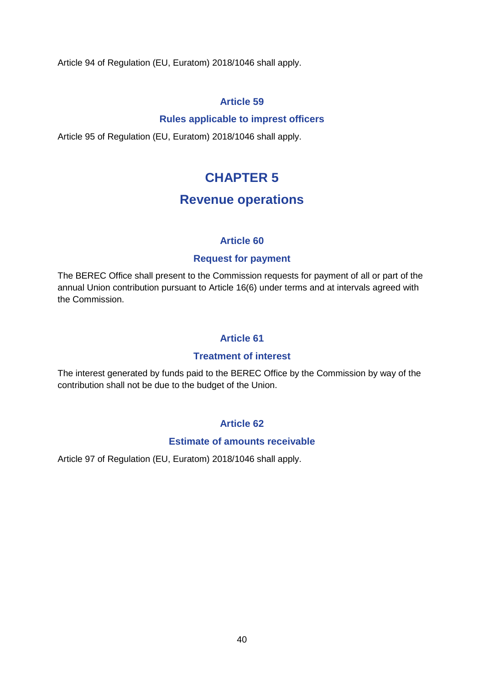Article 94 of Regulation (EU, Euratom) 2018/1046 shall apply.

### **Article 59**

#### **Rules applicable to imprest officers**

Article 95 of Regulation (EU, Euratom) 2018/1046 shall apply.

# **CHAPTER 5**

# **Revenue operations**

### **Article 60**

### **Request for payment**

The BEREC Office shall present to the Commission requests for payment of all or part of the annual Union contribution pursuant to Article 16(6) under terms and at intervals agreed with the Commission.

## **Article 61**

#### **Treatment of interest**

The interest generated by funds paid to the BEREC Office by the Commission by way of the contribution shall not be due to the budget of the Union.

## **Article 62**

#### **Estimate of amounts receivable**

Article 97 of Regulation (EU, Euratom) 2018/1046 shall apply.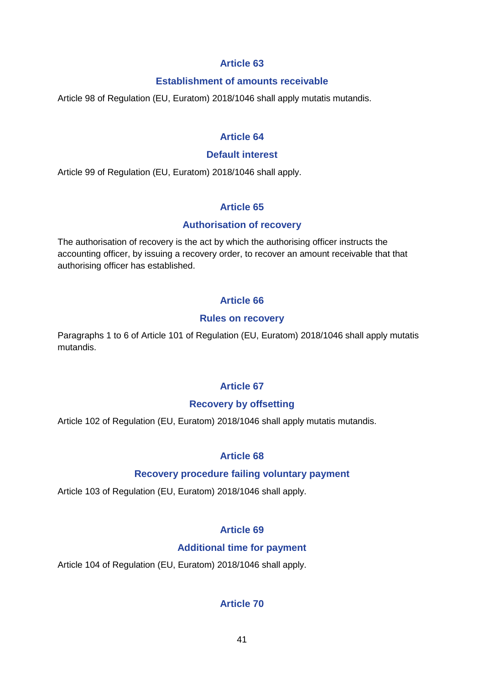#### **Establishment of amounts receivable**

Article 98 of Regulation (EU, Euratom) 2018/1046 shall apply mutatis mutandis.

### **Article 64**

#### **Default interest**

Article 99 of Regulation (EU, Euratom) 2018/1046 shall apply.

## **Article 65**

#### **Authorisation of recovery**

The authorisation of recovery is the act by which the authorising officer instructs the accounting officer, by issuing a recovery order, to recover an amount receivable that that authorising officer has established.

### **Article 66**

#### **Rules on recovery**

Paragraphs 1 to 6 of Article 101 of Regulation (EU, Euratom) 2018/1046 shall apply mutatis mutandis.

## **Article 67**

#### **Recovery by offsetting**

Article 102 of Regulation (EU, Euratom) 2018/1046 shall apply mutatis mutandis.

## **Article 68**

#### **Recovery procedure failing voluntary payment**

Article 103 of Regulation (EU, Euratom) 2018/1046 shall apply.

## **Article 69**

#### **Additional time for payment**

Article 104 of Regulation (EU, Euratom) 2018/1046 shall apply.

## **Article 70**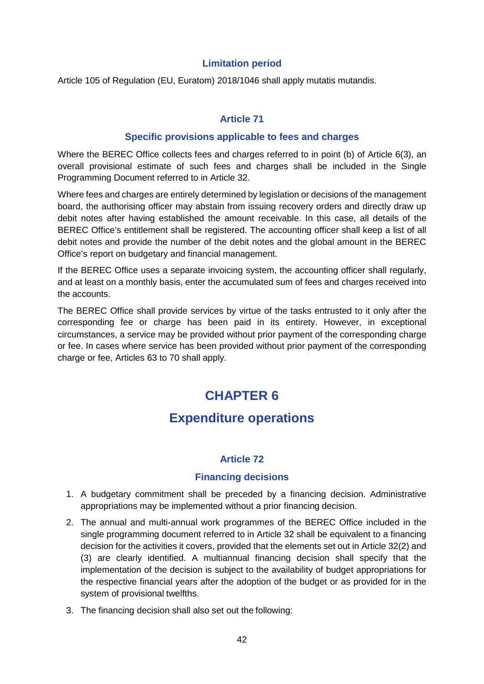#### **Limitation period**

Article 105 of Regulation (EU, Euratom) 2018/1046 shall apply mutatis mutandis.

### **Article 71**

#### **Specific provisions applicable to fees and charges**

Where the BEREC Office collects fees and charges referred to in point (b) of Article 6(3), an overall provisional estimate of such fees and charges shall be included in the Single Programming Document referred to in Article 32.

Where fees and charges are entirely determined by legislation or decisions of the management board, the authorising officer may abstain from issuing recovery orders and directly draw up debit notes after having established the amount receivable. In this case, all details of the BEREC Office's entitlement shall be registered. The accounting officer shall keep a list of all debit notes and provide the number of the debit notes and the global amount in the BEREC Office's report on budgetary and financial management.

If the BEREC Office uses a separate invoicing system, the accounting officer shall regularly, and at least on a monthly basis, enter the accumulated sum of fees and charges received into the accounts.

The BEREC Office shall provide services by virtue of the tasks entrusted to it only after the corresponding fee or charge has been paid in its entirety. However, in exceptional circumstances, a service may be provided without prior payment of the corresponding charge or fee. In cases where service has been provided without prior payment of the corresponding charge or fee, Articles 63 to 70 shall apply.

# **CHAPTER 6**

# **Expenditure operations**

#### **Article 72**

#### **Financing decisions**

- 1. A budgetary commitment shall be preceded by a financing decision. Administrative appropriations may be implemented without a prior financing decision.
- 2. The annual and multi-annual work programmes of the BEREC Office included in the single programming document referred to in Article 32 shall be equivalent to a financing decision for the activities it covers, provided that the elements set out in Article 32(2) and (3) are clearly identified. A multiannual financing decision shall specify that the implementation of the decision is subject to the availability of budget appropriations for the respective financial years after the adoption of the budget or as provided for in the system of provisional twelfths.
- 3. The financing decision shall also set out the following: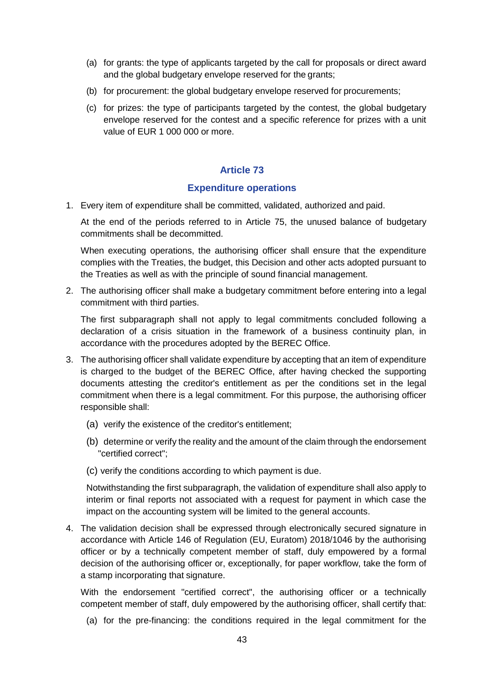- (a) for grants: the type of applicants targeted by the call for proposals or direct award and the global budgetary envelope reserved for the grants;
- (b) for procurement: the global budgetary envelope reserved for procurements;
- (c) for prizes: the type of participants targeted by the contest, the global budgetary envelope reserved for the contest and a specific reference for prizes with a unit value of EUR 1 000 000 or more.

#### **Expenditure operations**

1. Every item of expenditure shall be committed, validated, authorized and paid.

At the end of the periods referred to in Article 75, the unused balance of budgetary commitments shall be decommitted.

When executing operations, the authorising officer shall ensure that the expenditure complies with the Treaties, the budget, this Decision and other acts adopted pursuant to the Treaties as well as with the principle of sound financial management.

2. The authorising officer shall make a budgetary commitment before entering into a legal commitment with third parties.

The first subparagraph shall not apply to legal commitments concluded following a declaration of a crisis situation in the framework of a business continuity plan, in accordance with the procedures adopted by the BEREC Office.

- 3. The authorising officer shall validate expenditure by accepting that an item of expenditure is charged to the budget of the BEREC Office, after having checked the supporting documents attesting the creditor's entitlement as per the conditions set in the legal commitment when there is a legal commitment. For this purpose, the authorising officer responsible shall:
	- (a) verify the existence of the creditor's entitlement;
	- (b) determine or verify the reality and the amount of the claim through the endorsement "certified correct";
	- (c) verify the conditions according to which payment is due.

Notwithstanding the first subparagraph, the validation of expenditure shall also apply to interim or final reports not associated with a request for payment in which case the impact on the accounting system will be limited to the general accounts.

4. The validation decision shall be expressed through electronically secured signature in accordance with Article 146 of Regulation (EU, Euratom) 2018/1046 by the authorising officer or by a technically competent member of staff, duly empowered by a formal decision of the authorising officer or, exceptionally, for paper workflow, take the form of a stamp incorporating that signature.

With the endorsement "certified correct", the authorising officer or a technically competent member of staff, duly empowered by the authorising officer, shall certify that:

(a) for the pre-financing: the conditions required in the legal commitment for the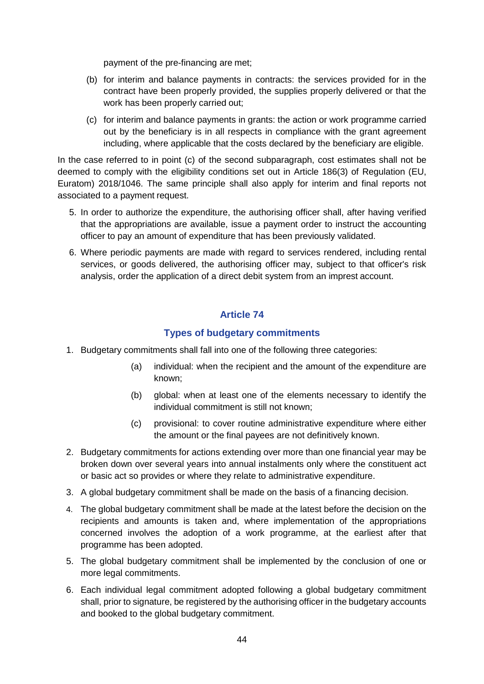payment of the pre-financing are met;

- (b) for interim and balance payments in contracts: the services provided for in the contract have been properly provided, the supplies properly delivered or that the work has been properly carried out;
- (c) for interim and balance payments in grants: the action or work programme carried out by the beneficiary is in all respects in compliance with the grant agreement including, where applicable that the costs declared by the beneficiary are eligible.

In the case referred to in point (c) of the second subparagraph, cost estimates shall not be deemed to comply with the eligibility conditions set out in Article 186(3) of Regulation (EU, Euratom) 2018/1046. The same principle shall also apply for interim and final reports not associated to a payment request.

- 5. In order to authorize the expenditure, the authorising officer shall, after having verified that the appropriations are available, issue a payment order to instruct the accounting officer to pay an amount of expenditure that has been previously validated.
- 6. Where periodic payments are made with regard to services rendered, including rental services, or goods delivered, the authorising officer may, subject to that officer's risk analysis, order the application of a direct debit system from an imprest account.

## **Article 74**

#### **Types of budgetary commitments**

- 1. Budgetary commitments shall fall into one of the following three categories:
	- (a) individual: when the recipient and the amount of the expenditure are known;
	- (b) global: when at least one of the elements necessary to identify the individual commitment is still not known;
	- (c) provisional: to cover routine administrative expenditure where either the amount or the final payees are not definitively known.
- 2. Budgetary commitments for actions extending over more than one financial year may be broken down over several years into annual instalments only where the constituent act or basic act so provides or where they relate to administrative expenditure.
- 3. A global budgetary commitment shall be made on the basis of a financing decision.
- 4. The global budgetary commitment shall be made at the latest before the decision on the recipients and amounts is taken and, where implementation of the appropriations concerned involves the adoption of a work programme, at the earliest after that programme has been adopted.
- 5. The global budgetary commitment shall be implemented by the conclusion of one or more legal commitments.
- 6. Each individual legal commitment adopted following a global budgetary commitment shall, prior to signature, be registered by the authorising officer in the budgetary accounts and booked to the global budgetary commitment.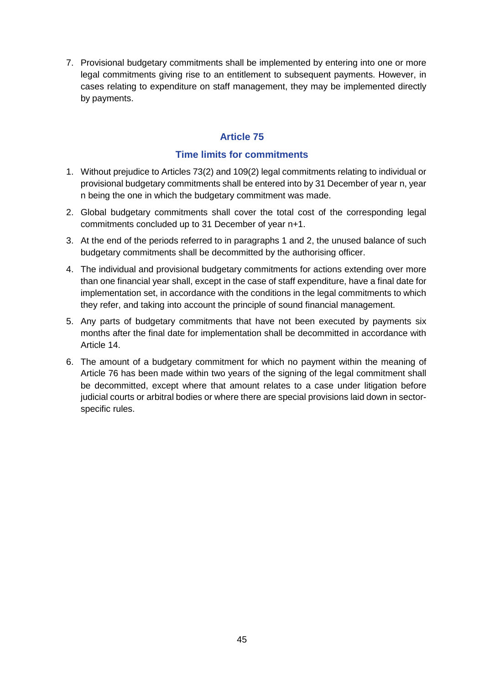7. Provisional budgetary commitments shall be implemented by entering into one or more legal commitments giving rise to an entitlement to subsequent payments. However, in cases relating to expenditure on staff management, they may be implemented directly by payments.

# **Article 75**

### **Time limits for commitments**

- 1. Without prejudice to Articles 73(2) and 109(2) legal commitments relating to individual or provisional budgetary commitments shall be entered into by 31 December of year n, year n being the one in which the budgetary commitment was made.
- 2. Global budgetary commitments shall cover the total cost of the corresponding legal commitments concluded up to 31 December of year n+1.
- 3. At the end of the periods referred to in paragraphs 1 and 2, the unused balance of such budgetary commitments shall be decommitted by the authorising officer.
- 4. The individual and provisional budgetary commitments for actions extending over more than one financial year shall, except in the case of staff expenditure, have a final date for implementation set, in accordance with the conditions in the legal commitments to which they refer, and taking into account the principle of sound financial management.
- 5. Any parts of budgetary commitments that have not been executed by payments six months after the final date for implementation shall be decommitted in accordance with Article 14.
- 6. The amount of a budgetary commitment for which no payment within the meaning of Article 76 has been made within two years of the signing of the legal commitment shall be decommitted, except where that amount relates to a case under litigation before judicial courts or arbitral bodies or where there are special provisions laid down in sectorspecific rules.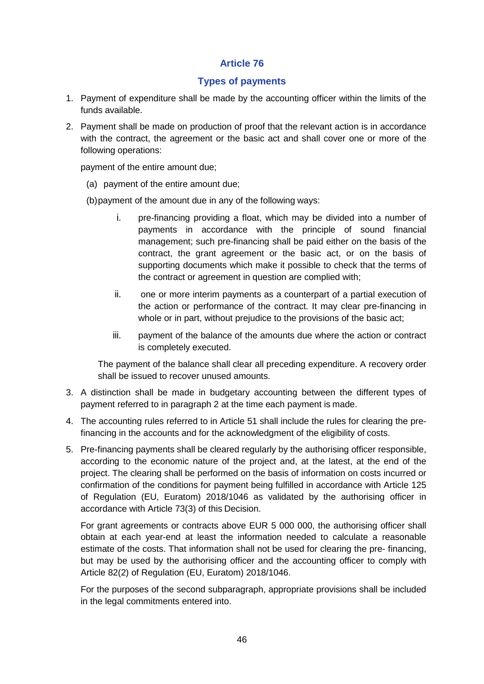### **Types of payments**

- 1. Payment of expenditure shall be made by the accounting officer within the limits of the funds available.
- 2. Payment shall be made on production of proof that the relevant action is in accordance with the contract, the agreement or the basic act and shall cover one or more of the following operations:

payment of the entire amount due;

(a) payment of the entire amount due;

(b)payment of the amount due in any of the following ways:

- i. pre-financing providing a float, which may be divided into a number of payments in accordance with the principle of sound financial management; such pre-financing shall be paid either on the basis of the contract, the grant agreement or the basic act, or on the basis of supporting documents which make it possible to check that the terms of the contract or agreement in question are complied with;
- ii. one or more interim payments as a counterpart of a partial execution of the action or performance of the contract. It may clear pre-financing in whole or in part, without prejudice to the provisions of the basic act;
- iii. payment of the balance of the amounts due where the action or contract is completely executed.

The payment of the balance shall clear all preceding expenditure. A recovery order shall be issued to recover unused amounts.

- 3. A distinction shall be made in budgetary accounting between the different types of payment referred to in paragraph 2 at the time each payment is made.
- 4. The accounting rules referred to in Article 51 shall include the rules for clearing the prefinancing in the accounts and for the acknowledgment of the eligibility of costs.
- 5. Pre-financing payments shall be cleared regularly by the authorising officer responsible, according to the economic nature of the project and, at the latest, at the end of the project. The clearing shall be performed on the basis of information on costs incurred or confirmation of the conditions for payment being fulfilled in accordance with Article 125 of Regulation (EU, Euratom) 2018/1046 as validated by the authorising officer in accordance with Article 73(3) of this Decision.

For grant agreements or contracts above EUR 5 000 000, the authorising officer shall obtain at each year-end at least the information needed to calculate a reasonable estimate of the costs. That information shall not be used for clearing the pre- financing, but may be used by the authorising officer and the accounting officer to comply with Article 82(2) of Regulation (EU, Euratom) 2018/1046.

For the purposes of the second subparagraph, appropriate provisions shall be included in the legal commitments entered into.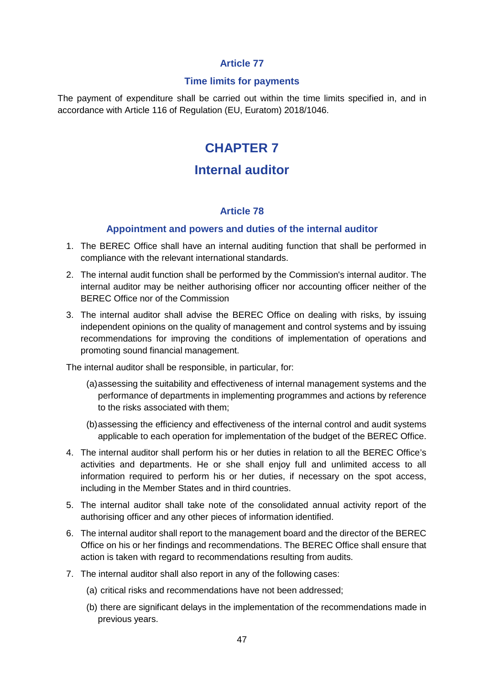#### **Time limits for payments**

The payment of expenditure shall be carried out within the time limits specified in, and in accordance with Article 116 of Regulation (EU, Euratom) 2018/1046.

# **CHAPTER 7**

# **Internal auditor**

#### **Article 78**

#### **Appointment and powers and duties of the internal auditor**

- 1. The BEREC Office shall have an internal auditing function that shall be performed in compliance with the relevant international standards.
- 2. The internal audit function shall be performed by the Commission's internal auditor. The internal auditor may be neither authorising officer nor accounting officer neither of the BEREC Office nor of the Commission
- 3. The internal auditor shall advise the BEREC Office on dealing with risks, by issuing independent opinions on the quality of management and control systems and by issuing recommendations for improving the conditions of implementation of operations and promoting sound financial management.

The internal auditor shall be responsible, in particular, for:

- (a)assessing the suitability and effectiveness of internal management systems and the performance of departments in implementing programmes and actions by reference to the risks associated with them;
- (b)assessing the efficiency and effectiveness of the internal control and audit systems applicable to each operation for implementation of the budget of the BEREC Office.
- 4. The internal auditor shall perform his or her duties in relation to all the BEREC Office's activities and departments. He or she shall enjoy full and unlimited access to all information required to perform his or her duties, if necessary on the spot access, including in the Member States and in third countries.
- 5. The internal auditor shall take note of the consolidated annual activity report of the authorising officer and any other pieces of information identified.
- 6. The internal auditor shall report to the management board and the director of the BEREC Office on his or her findings and recommendations. The BEREC Office shall ensure that action is taken with regard to recommendations resulting from audits.
- 7. The internal auditor shall also report in any of the following cases:
	- (a) critical risks and recommendations have not been addressed;
	- (b) there are significant delays in the implementation of the recommendations made in previous years.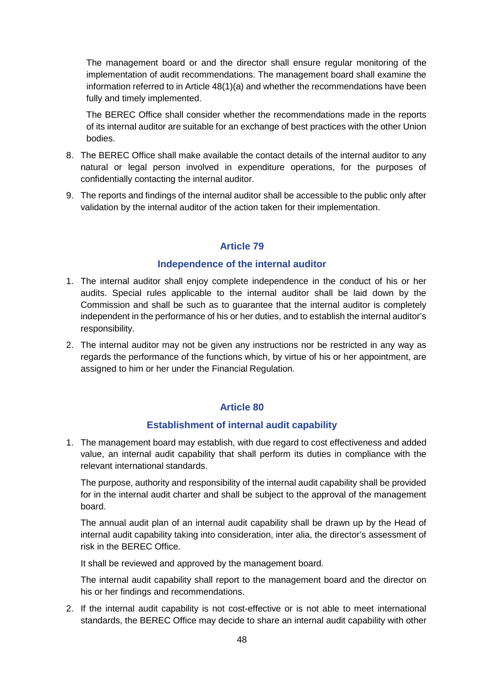The management board or and the director shall ensure regular monitoring of the implementation of audit recommendations. The management board shall examine the information referred to in Article 48(1)(a) and whether the recommendations have been fully and timely implemented.

The BEREC Office shall consider whether the recommendations made in the reports of its internal auditor are suitable for an exchange of best practices with the other Union bodies.

- 8. The BEREC Office shall make available the contact details of the internal auditor to any natural or legal person involved in expenditure operations, for the purposes of confidentially contacting the internal auditor.
- 9. The reports and findings of the internal auditor shall be accessible to the public only after validation by the internal auditor of the action taken for their implementation.

### **Article 79**

#### **Independence of the internal auditor**

- 1. The internal auditor shall enjoy complete independence in the conduct of his or her audits. Special rules applicable to the internal auditor shall be laid down by the Commission and shall be such as to guarantee that the internal auditor is completely independent in the performance of his or her duties, and to establish the internal auditor's responsibility.
- 2. The internal auditor may not be given any instructions nor be restricted in any way as regards the performance of the functions which, by virtue of his or her appointment, are assigned to him or her under the Financial Regulation.

#### **Article 80**

#### **Establishment of internal audit capability**

1. The management board may establish, with due regard to cost effectiveness and added value, an internal audit capability that shall perform its duties in compliance with the relevant international standards.

The purpose, authority and responsibility of the internal audit capability shall be provided for in the internal audit charter and shall be subject to the approval of the management board.

The annual audit plan of an internal audit capability shall be drawn up by the Head of internal audit capability taking into consideration, inter alia, the director's assessment of risk in the BEREC Office.

It shall be reviewed and approved by the management board.

The internal audit capability shall report to the management board and the director on his or her findings and recommendations.

2. If the internal audit capability is not cost-effective or is not able to meet international standards, the BEREC Office may decide to share an internal audit capability with other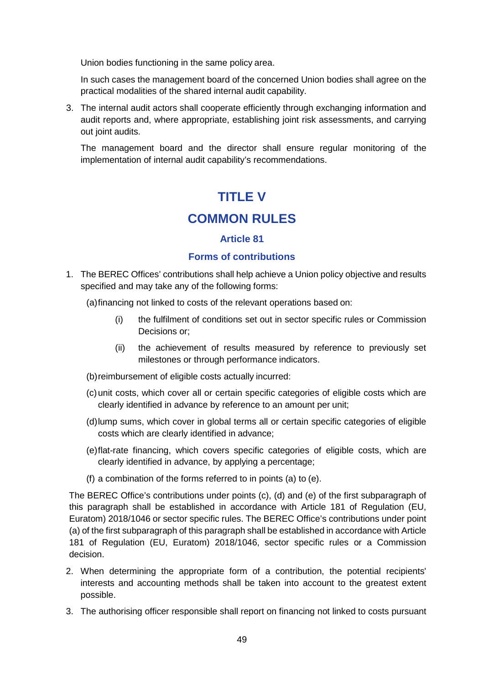Union bodies functioning in the same policy area.

In such cases the management board of the concerned Union bodies shall agree on the practical modalities of the shared internal audit capability.

3. The internal audit actors shall cooperate efficiently through exchanging information and audit reports and, where appropriate, establishing joint risk assessments, and carrying out joint audits.

The management board and the director shall ensure regular monitoring of the implementation of internal audit capability's recommendations.

# **TITLE V**

# **COMMON RULES**

### **Article 81**

#### **Forms of contributions**

1. The BEREC Offices' contributions shall help achieve a Union policy objective and results specified and may take any of the following forms:

(a)financing not linked to costs of the relevant operations based on:

- (i) the fulfilment of conditions set out in sector specific rules or Commission Decisions or;
- (ii) the achievement of results measured by reference to previously set milestones or through performance indicators.
- (b)reimbursement of eligible costs actually incurred:
- (c)unit costs, which cover all or certain specific categories of eligible costs which are clearly identified in advance by reference to an amount per unit;
- (d)lump sums, which cover in global terms all or certain specific categories of eligible costs which are clearly identified in advance;
- (e)flat-rate financing, which covers specific categories of eligible costs, which are clearly identified in advance, by applying a percentage;
- (f) a combination of the forms referred to in points (a) to (e).

The BEREC Office's contributions under points (c), (d) and (e) of the first subparagraph of this paragraph shall be established in accordance with Article 181 of Regulation (EU, Euratom) 2018/1046 or sector specific rules. The BEREC Office's contributions under point (a) of the first subparagraph of this paragraph shall be established in accordance with Article 181 of Regulation (EU, Euratom) 2018/1046, sector specific rules or a Commission decision.

- 2. When determining the appropriate form of a contribution, the potential recipients' interests and accounting methods shall be taken into account to the greatest extent possible.
- 3. The authorising officer responsible shall report on financing not linked to costs pursuant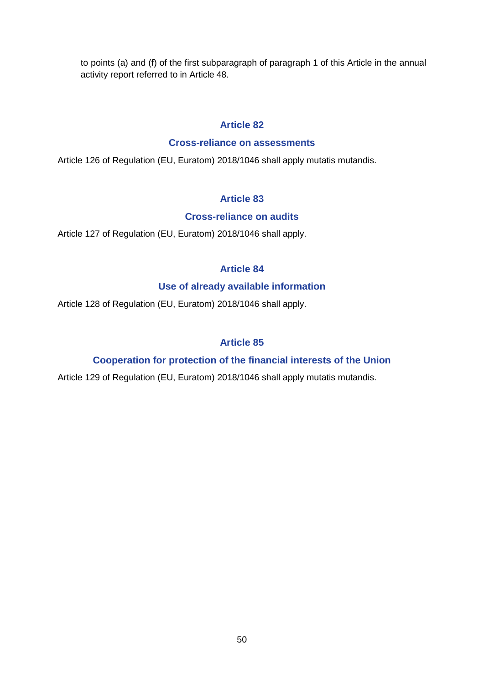to points (a) and (f) of the first subparagraph of paragraph 1 of this Article in the annual activity report referred to in Article 48.

### **Article 82**

#### **Cross-reliance on assessments**

Article 126 of Regulation (EU, Euratom) 2018/1046 shall apply mutatis mutandis.

## **Article 83**

#### **Cross-reliance on audits**

Article 127 of Regulation (EU, Euratom) 2018/1046 shall apply.

## **Article 84**

### **Use of already available information**

Article 128 of Regulation (EU, Euratom) 2018/1046 shall apply.

## **Article 85**

## **Cooperation for protection of the financial interests of the Union**

Article 129 of Regulation (EU, Euratom) 2018/1046 shall apply mutatis mutandis.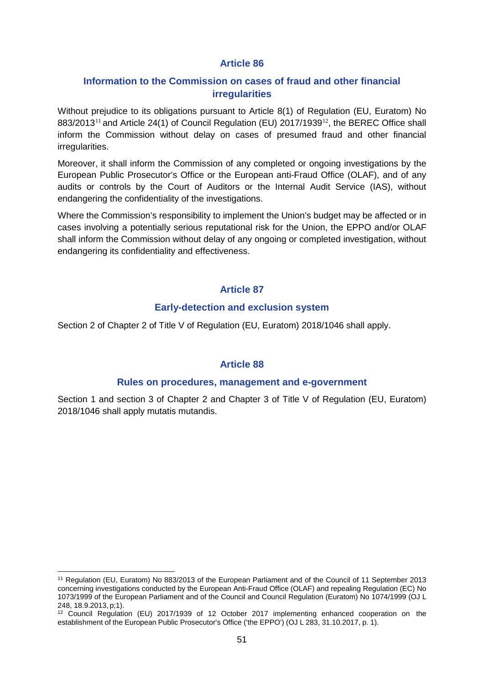#### **Information to the Commission on cases of fraud and other financial irregularities**

Without prejudice to its obligations pursuant to Article 8(1) of Regulation (EU, Euratom) No  $883/2013^{11}$  $883/2013^{11}$  $883/2013^{11}$  and Article 24(1) of Council Regulation (EU) 2017/1939<sup>[12](#page-50-1)</sup>, the BEREC Office shall inform the Commission without delay on cases of presumed fraud and other financial irregularities.

Moreover, it shall inform the Commission of any completed or ongoing investigations by the European Public Prosecutor's Office or the European anti-Fraud Office (OLAF), and of any audits or controls by the Court of Auditors or the Internal Audit Service (IAS), without endangering the confidentiality of the investigations.

Where the Commission's responsibility to implement the Union's budget may be affected or in cases involving a potentially serious reputational risk for the Union, the EPPO and/or OLAF shall inform the Commission without delay of any ongoing or completed investigation, without endangering its confidentiality and effectiveness.

#### **Article 87**

#### **Early-detection and exclusion system**

Section 2 of Chapter 2 of Title V of Regulation (EU, Euratom) 2018/1046 shall apply.

#### **Article 88**

#### **Rules on procedures, management and e-government**

Section 1 and section 3 of Chapter 2 and Chapter 3 of Title V of Regulation (EU, Euratom) 2018/1046 shall apply mutatis mutandis.

<span id="page-50-0"></span> $\overline{a}$ <sup>11</sup> Regulation (EU, Euratom) No 883/2013 of the European Parliament and of the Council of 11 September 2013 concerning investigations conducted by the European Anti-Fraud Office (OLAF) and repealing Regulation (EC) No 1073/1999 of the European Parliament and of the Council and Council Regulation (Euratom) No 1074/1999 (OJ L 248, 18.9.2013, p;1).

<span id="page-50-1"></span><sup>12</sup> Council Regulation (EU) 2017/1939 of 12 October 2017 implementing enhanced cooperation on the establishment of the European Public Prosecutor's Office ('the EPPO') (OJ L 283, 31.10.2017, p. 1).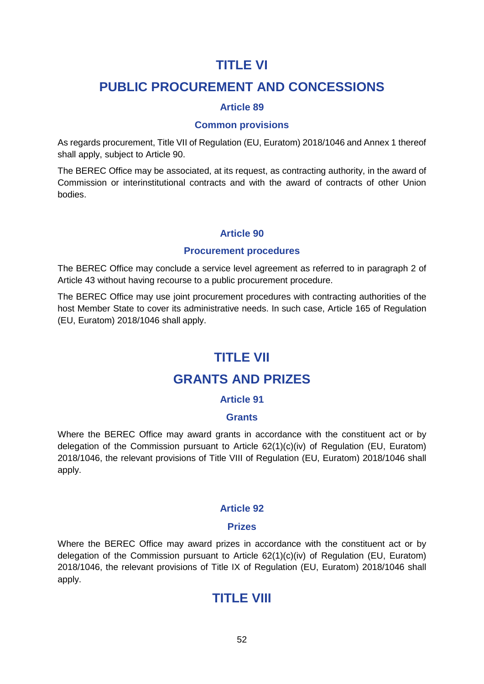# **TITLE VI**

# **PUBLIC PROCUREMENT AND CONCESSIONS**

### **Article 89**

#### **Common provisions**

As regards procurement, Title VII of Regulation (EU, Euratom) 2018/1046 and Annex 1 thereof shall apply, subject to Article 90.

The BEREC Office may be associated, at its request, as contracting authority, in the award of Commission or interinstitutional contracts and with the award of contracts of other Union bodies.

#### **Article 90**

#### **Procurement procedures**

The BEREC Office may conclude a service level agreement as referred to in paragraph 2 of Article 43 without having recourse to a public procurement procedure.

The BEREC Office may use joint procurement procedures with contracting authorities of the host Member State to cover its administrative needs. In such case, Article 165 of Regulation (EU, Euratom) 2018/1046 shall apply.

# **TITLE VII**

# **GRANTS AND PRIZES**

#### **Article 91**

#### **Grants**

Where the BEREC Office may award grants in accordance with the constituent act or by delegation of the Commission pursuant to Article  $62(1)(c)(iv)$  of Regulation (EU, Euratom) 2018/1046, the relevant provisions of Title VIII of Regulation (EU, Euratom) 2018/1046 shall apply.

#### **Article 92**

#### **Prizes**

Where the BEREC Office may award prizes in accordance with the constituent act or by delegation of the Commission pursuant to Article  $62(1)(c)(iv)$  of Regulation (EU, Euratom) 2018/1046, the relevant provisions of Title IX of Regulation (EU, Euratom) 2018/1046 shall apply.

# **TITLE VIII**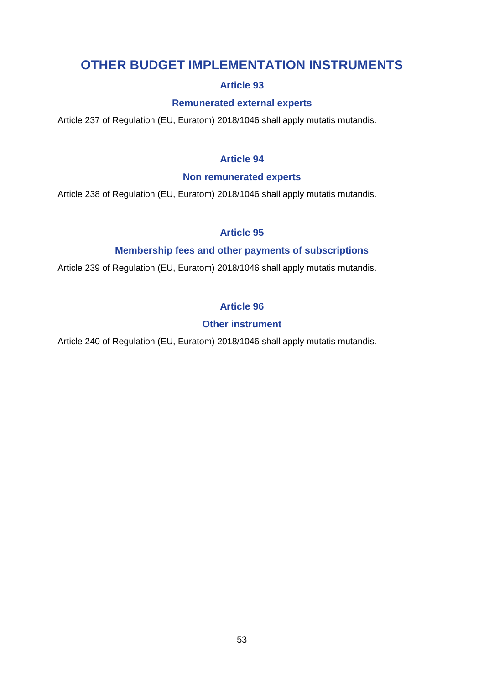# **OTHER BUDGET IMPLEMENTATION INSTRUMENTS**

# **Article 93**

## **Remunerated external experts**

Article 237 of Regulation (EU, Euratom) 2018/1046 shall apply mutatis mutandis.

# **Article 94**

### **Non remunerated experts**

Article 238 of Regulation (EU, Euratom) 2018/1046 shall apply mutatis mutandis.

# **Article 95**

# **Membership fees and other payments of subscriptions**

Article 239 of Regulation (EU, Euratom) 2018/1046 shall apply mutatis mutandis.

# **Article 96**

# **Other instrument**

Article 240 of Regulation (EU, Euratom) 2018/1046 shall apply mutatis mutandis.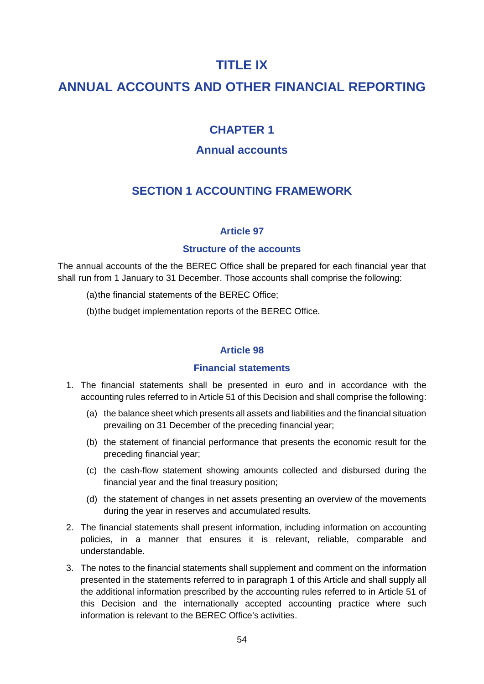# **TITLE IX**

# **ANNUAL ACCOUNTS AND OTHER FINANCIAL REPORTING**

# **CHAPTER 1**

# **Annual accounts**

# **SECTION 1 ACCOUNTING FRAMEWORK**

#### **Article 97**

#### **Structure of the accounts**

The annual accounts of the the BEREC Office shall be prepared for each financial year that shall run from 1 January to 31 December. Those accounts shall comprise the following:

(a)the financial statements of the BEREC Office;

(b)the budget implementation reports of the BEREC Office.

#### **Article 98**

#### **Financial statements**

- 1. The financial statements shall be presented in euro and in accordance with the accounting rules referred to in Article 51 of this Decision and shall comprise the following:
	- (a) the balance sheet which presents all assets and liabilities and the financial situation prevailing on 31 December of the preceding financial year;
	- (b) the statement of financial performance that presents the economic result for the preceding financial year;
	- (c) the cash-flow statement showing amounts collected and disbursed during the financial year and the final treasury position;
	- (d) the statement of changes in net assets presenting an overview of the movements during the year in reserves and accumulated results.
- 2. The financial statements shall present information, including information on accounting policies, in a manner that ensures it is relevant, reliable, comparable and understandable.
- 3. The notes to the financial statements shall supplement and comment on the information presented in the statements referred to in paragraph 1 of this Article and shall supply all the additional information prescribed by the accounting rules referred to in Article 51 of this Decision and the internationally accepted accounting practice where such information is relevant to the BEREC Office's activities.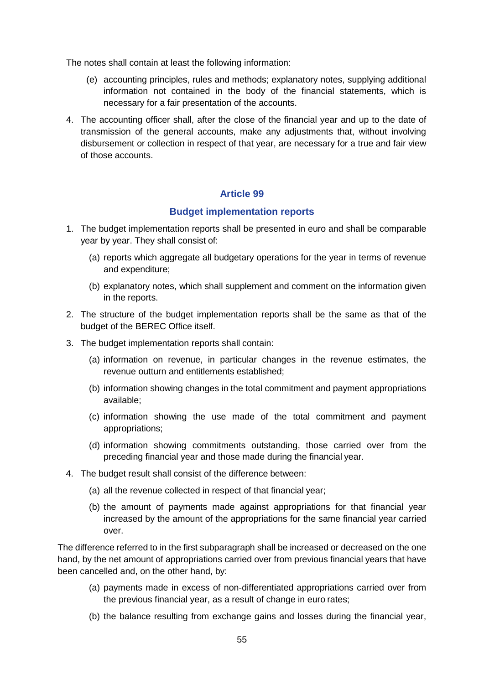The notes shall contain at least the following information:

- (e) accounting principles, rules and methods; explanatory notes, supplying additional information not contained in the body of the financial statements, which is necessary for a fair presentation of the accounts.
- 4. The accounting officer shall, after the close of the financial year and up to the date of transmission of the general accounts, make any adjustments that, without involving disbursement or collection in respect of that year, are necessary for a true and fair view of those accounts.

## **Article 99**

#### **Budget implementation reports**

- 1. The budget implementation reports shall be presented in euro and shall be comparable year by year. They shall consist of:
	- (a) reports which aggregate all budgetary operations for the year in terms of revenue and expenditure;
	- (b) explanatory notes, which shall supplement and comment on the information given in the reports.
- 2. The structure of the budget implementation reports shall be the same as that of the budget of the BEREC Office itself.
- 3. The budget implementation reports shall contain:
	- (a) information on revenue, in particular changes in the revenue estimates, the revenue outturn and entitlements established;
	- (b) information showing changes in the total commitment and payment appropriations available;
	- (c) information showing the use made of the total commitment and payment appropriations;
	- (d) information showing commitments outstanding, those carried over from the preceding financial year and those made during the financial year.
- 4. The budget result shall consist of the difference between:
	- (a) all the revenue collected in respect of that financial year;
	- (b) the amount of payments made against appropriations for that financial year increased by the amount of the appropriations for the same financial year carried over.

The difference referred to in the first subparagraph shall be increased or decreased on the one hand, by the net amount of appropriations carried over from previous financial years that have been cancelled and, on the other hand, by:

- (a) payments made in excess of non-differentiated appropriations carried over from the previous financial year, as a result of change in euro rates;
- (b) the balance resulting from exchange gains and losses during the financial year,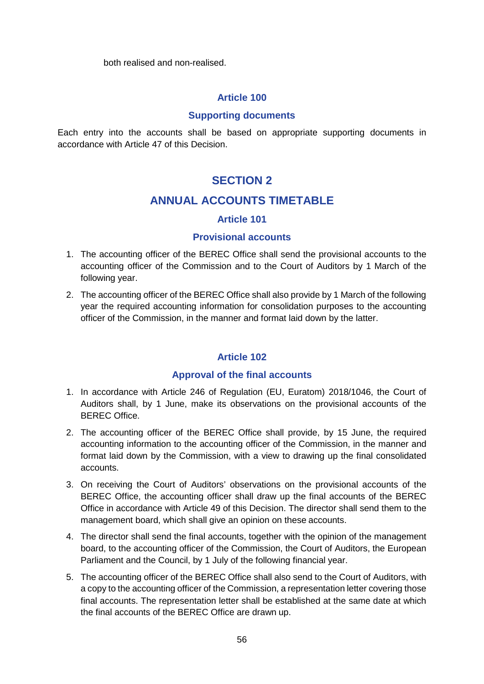both realised and non-realised.

#### **Article 100**

#### **Supporting documents**

Each entry into the accounts shall be based on appropriate supporting documents in accordance with Article 47 of this Decision.

## **SECTION 2**

### **ANNUAL ACCOUNTS TIMETABLE**

#### **Article 101**

#### **Provisional accounts**

- 1. The accounting officer of the BEREC Office shall send the provisional accounts to the accounting officer of the Commission and to the Court of Auditors by 1 March of the following year.
- 2. The accounting officer of the BEREC Office shall also provide by 1 March of the following year the required accounting information for consolidation purposes to the accounting officer of the Commission, in the manner and format laid down by the latter.

#### **Article 102**

#### **Approval of the final accounts**

- 1. In accordance with Article 246 of Regulation (EU, Euratom) 2018/1046, the Court of Auditors shall, by 1 June, make its observations on the provisional accounts of the BEREC Office.
- 2. The accounting officer of the BEREC Office shall provide, by 15 June, the required accounting information to the accounting officer of the Commission, in the manner and format laid down by the Commission, with a view to drawing up the final consolidated accounts.
- 3. On receiving the Court of Auditors' observations on the provisional accounts of the BEREC Office, the accounting officer shall draw up the final accounts of the BEREC Office in accordance with Article 49 of this Decision. The director shall send them to the management board, which shall give an opinion on these accounts.
- 4. The director shall send the final accounts, together with the opinion of the management board, to the accounting officer of the Commission, the Court of Auditors, the European Parliament and the Council, by 1 July of the following financial year.
- 5. The accounting officer of the BEREC Office shall also send to the Court of Auditors, with a copy to the accounting officer of the Commission, a representation letter covering those final accounts. The representation letter shall be established at the same date at which the final accounts of the BEREC Office are drawn up.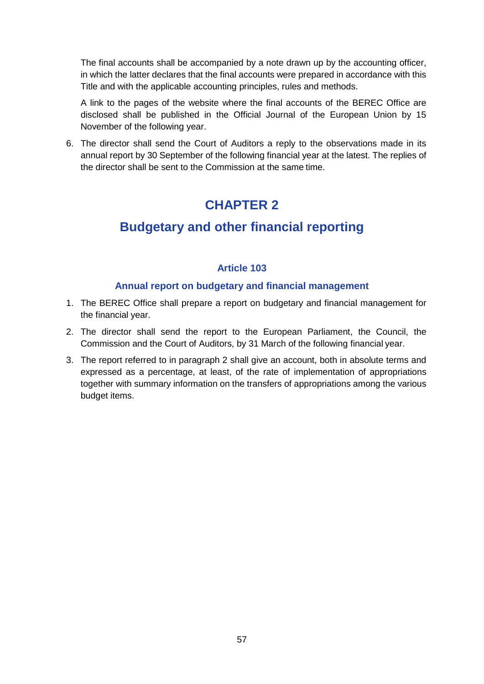The final accounts shall be accompanied by a note drawn up by the accounting officer, in which the latter declares that the final accounts were prepared in accordance with this Title and with the applicable accounting principles, rules and methods.

A link to the pages of the website where the final accounts of the BEREC Office are disclosed shall be published in the Official Journal of the European Union by 15 November of the following year.

6. The director shall send the Court of Auditors a reply to the observations made in its annual report by 30 September of the following financial year at the latest. The replies of the director shall be sent to the Commission at the same time.

# **CHAPTER 2**

# **Budgetary and other financial reporting**

## **Article 103**

### **Annual report on budgetary and financial management**

- 1. The BEREC Office shall prepare a report on budgetary and financial management for the financial year.
- 2. The director shall send the report to the European Parliament, the Council, the Commission and the Court of Auditors, by 31 March of the following financial year.
- 3. The report referred to in paragraph 2 shall give an account, both in absolute terms and expressed as a percentage, at least, of the rate of implementation of appropriations together with summary information on the transfers of appropriations among the various budget items.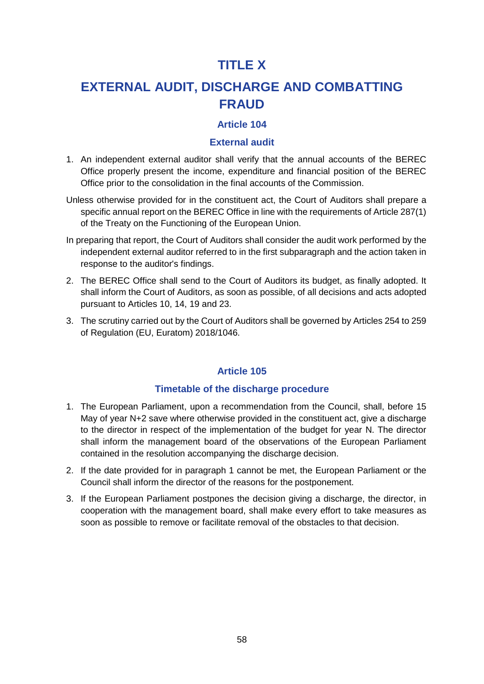# **TITLE X**

# **EXTERNAL AUDIT, DISCHARGE AND COMBATTING FRAUD**

# **Article 104**

#### **External audit**

- 1. An independent external auditor shall verify that the annual accounts of the BEREC Office properly present the income, expenditure and financial position of the BEREC Office prior to the consolidation in the final accounts of the Commission.
- Unless otherwise provided for in the constituent act, the Court of Auditors shall prepare a specific annual report on the BEREC Office in line with the requirements of Article 287(1) of the Treaty on the Functioning of the European Union.
- In preparing that report, the Court of Auditors shall consider the audit work performed by the independent external auditor referred to in the first subparagraph and the action taken in response to the auditor's findings.
- 2. The BEREC Office shall send to the Court of Auditors its budget, as finally adopted. It shall inform the Court of Auditors, as soon as possible, of all decisions and acts adopted pursuant to Articles 10, 14, 19 and 23.
- 3. The scrutiny carried out by the Court of Auditors shall be governed by Articles 254 to 259 of Regulation (EU, Euratom) 2018/1046.

#### **Article 105**

#### **Timetable of the discharge procedure**

- 1. The European Parliament, upon a recommendation from the Council, shall, before 15 May of year N+2 save where otherwise provided in the constituent act, give a discharge to the director in respect of the implementation of the budget for year N. The director shall inform the management board of the observations of the European Parliament contained in the resolution accompanying the discharge decision.
- 2. If the date provided for in paragraph 1 cannot be met, the European Parliament or the Council shall inform the director of the reasons for the postponement.
- 3. If the European Parliament postpones the decision giving a discharge, the director, in cooperation with the management board, shall make every effort to take measures as soon as possible to remove or facilitate removal of the obstacles to that decision.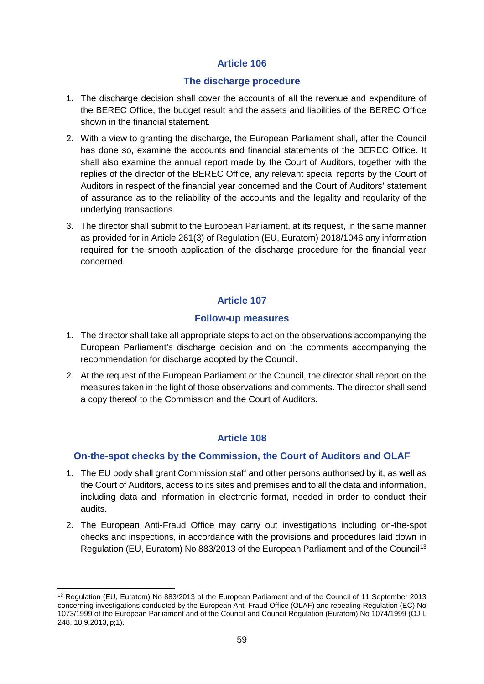#### **The discharge procedure**

- 1. The discharge decision shall cover the accounts of all the revenue and expenditure of the BEREC Office, the budget result and the assets and liabilities of the BEREC Office shown in the financial statement.
- 2. With a view to granting the discharge, the European Parliament shall, after the Council has done so, examine the accounts and financial statements of the BEREC Office. It shall also examine the annual report made by the Court of Auditors, together with the replies of the director of the BEREC Office, any relevant special reports by the Court of Auditors in respect of the financial year concerned and the Court of Auditors' statement of assurance as to the reliability of the accounts and the legality and regularity of the underlying transactions.
- 3. The director shall submit to the European Parliament, at its request, in the same manner as provided for in Article 261(3) of Regulation (EU, Euratom) 2018/1046 any information required for the smooth application of the discharge procedure for the financial year concerned.

## **Article 107**

#### **Follow-up measures**

- 1. The director shall take all appropriate steps to act on the observations accompanying the European Parliament's discharge decision and on the comments accompanying the recommendation for discharge adopted by the Council.
- 2. At the request of the European Parliament or the Council, the director shall report on the measures taken in the light of those observations and comments. The director shall send a copy thereof to the Commission and the Court of Auditors.

## **Article 108**

## **On-the-spot checks by the Commission, the Court of Auditors and OLAF**

- 1. The EU body shall grant Commission staff and other persons authorised by it, as well as the Court of Auditors, access to its sites and premises and to all the data and information, including data and information in electronic format, needed in order to conduct their audits.
- 2. The European Anti-Fraud Office may carry out investigations including on-the-spot checks and inspections, in accordance with the provisions and procedures laid down in Regulation (EU, Euratom) No 883/20[13](#page-58-0) of the European Parliament and of the Council<sup>13</sup>

<span id="page-58-0"></span> $\overline{a}$ <sup>13</sup> Regulation (EU, Euratom) No 883/2013 of the European Parliament and of the Council of 11 September 2013 concerning investigations conducted by the European Anti-Fraud Office (OLAF) and repealing Regulation (EC) No 1073/1999 of the European Parliament and of the Council and Council Regulation (Euratom) No 1074/1999 (OJ L 248, 18.9.2013, p;1).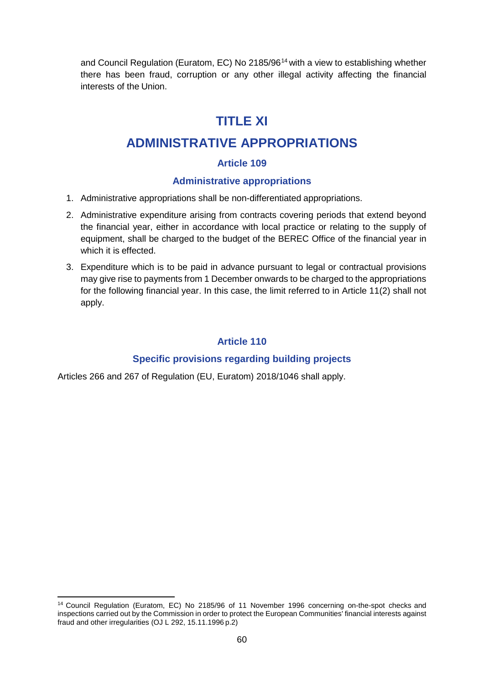and Council Regulation (Euratom, EC) No 2185/96[14](#page-59-0) with a view to establishing whether there has been fraud, corruption or any other illegal activity affecting the financial interests of the Union.

# **TITLE XI**

# **ADMINISTRATIVE APPROPRIATIONS**

## **Article 109**

## **Administrative appropriations**

- 1. Administrative appropriations shall be non-differentiated appropriations.
- 2. Administrative expenditure arising from contracts covering periods that extend beyond the financial year, either in accordance with local practice or relating to the supply of equipment, shall be charged to the budget of the BEREC Office of the financial year in which it is effected.
- 3. Expenditure which is to be paid in advance pursuant to legal or contractual provisions may give rise to payments from 1 December onwards to be charged to the appropriations for the following financial year. In this case, the limit referred to in Article 11(2) shall not apply.

### **Article 110**

## **Specific provisions regarding building projects**

Articles 266 and 267 of Regulation (EU, Euratom) 2018/1046 shall apply.

<span id="page-59-0"></span> $\overline{a}$ <sup>14</sup> Council Regulation (Euratom, EC) No 2185/96 of 11 November 1996 concerning on-the-spot checks and inspections carried out by the Commission in order to protect the European Communities' financial interests against fraud and other irregularities (OJ L 292, 15.11.1996 p.2)